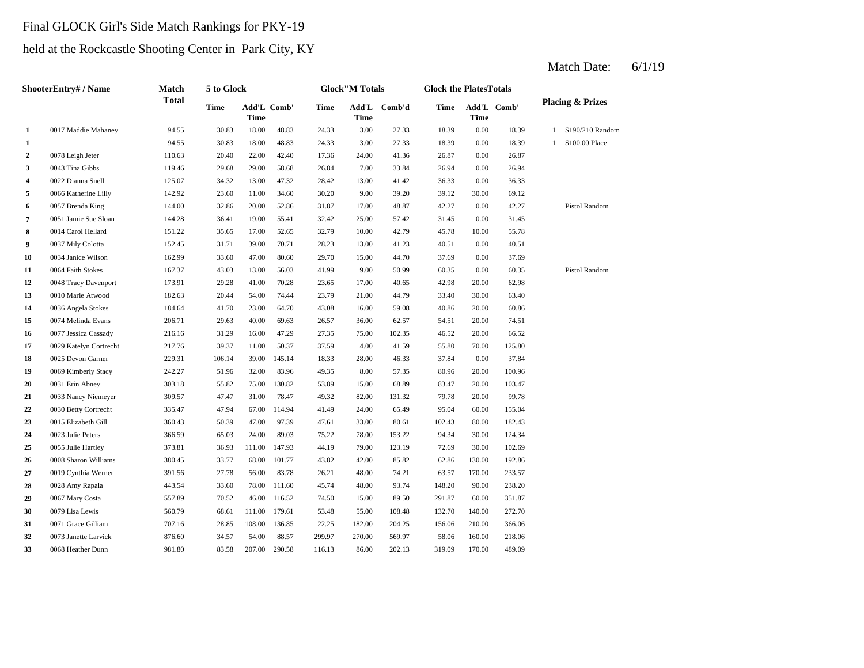# Final GLOCK Girl's Side Match Rankings for PKY-19

# held at the Rockcastle Shooting Center in Park City, KY

|              | ShooterEntry# / Name   | Match        | 5 to Glock |        |             |             | <b>Glock</b> "M Totals |              | <b>Glock the PlatesTotals</b> |        |             |                             |                |
|--------------|------------------------|--------------|------------|--------|-------------|-------------|------------------------|--------------|-------------------------------|--------|-------------|-----------------------------|----------------|
|              |                        | <b>Total</b> | Time       | Time   | Add'L Comb' | <b>Time</b> | <b>Time</b>            | Add'L Comb'd | <b>Time</b>                   | Time   | Add'L Comb' | <b>Placing &amp; Prizes</b> |                |
| $\mathbf{1}$ | 0017 Maddie Mahaney    | 94.55        | 30.83      | 18.00  | 48.83       | 24.33       | 3.00                   | 27.33        | 18.39                         | 0.00   | 18.39       | 1 \$190/210 Random          |                |
| $\mathbf{1}$ |                        | 94.55        | 30.83      | 18.00  | 48.83       | 24.33       | 3.00                   | 27.33        | 18.39                         | 0.00   | 18.39       | $\mathbf{1}$                | \$100.00 Place |
| $\mathbf{2}$ | 0078 Leigh Jeter       | 110.63       | 20.40      | 22.00  | 42.40       | 17.36       | 24.00                  | 41.36        | 26.87                         | 0.00   | 26.87       |                             |                |
| 3            | 0043 Tina Gibbs        | 119.46       | 29.68      | 29.00  | 58.68       | 26.84       | 7.00                   | 33.84        | 26.94                         | 0.00   | 26.94       |                             |                |
| 4            | 0022 Dianna Snell      | 125.07       | 34.32      | 13.00  | 47.32       | 28.42       | 13.00                  | 41.42        | 36.33                         | 0.00   | 36.33       |                             |                |
| 5            | 0066 Katherine Lilly   | 142.92       | 23.60      | 11.00  | 34.60       | 30.20       | 9.00                   | 39.20        | 39.12                         | 30.00  | 69.12       |                             |                |
| 6            | 0057 Brenda King       | 144.00       | 32.86      | 20.00  | 52.86       | 31.87       | 17.00                  | 48.87        | 42.27                         | 0.00   | 42.27       |                             | Pistol Random  |
| 7            | 0051 Jamie Sue Sloan   | 144.28       | 36.41      | 19.00  | 55.41       | 32.42       | 25.00                  | 57.42        | 31.45                         | 0.00   | 31.45       |                             |                |
| 8            | 0014 Carol Hellard     | 151.22       | 35.65      | 17.00  | 52.65       | 32.79       | 10.00                  | 42.79        | 45.78                         | 10.00  | 55.78       |                             |                |
| 9            | 0037 Mily Colotta      | 152.45       | 31.71      | 39.00  | 70.71       | 28.23       | 13.00                  | 41.23        | 40.51                         | 0.00   | 40.51       |                             |                |
| 10           | 0034 Janice Wilson     | 162.99       | 33.60      | 47.00  | 80.60       | 29.70       | 15.00                  | 44.70        | 37.69                         | 0.00   | 37.69       |                             |                |
| 11           | 0064 Faith Stokes      | 167.37       | 43.03      | 13.00  | 56.03       | 41.99       | 9.00                   | 50.99        | 60.35                         | 0.00   | 60.35       |                             | Pistol Random  |
| 12           | 0048 Tracy Davenport   | 173.91       | 29.28      | 41.00  | 70.28       | 23.65       | 17.00                  | 40.65        | 42.98                         | 20.00  | 62.98       |                             |                |
| 13           | 0010 Marie Atwood      | 182.63       | 20.44      | 54.00  | 74.44       | 23.79       | 21.00                  | 44.79        | 33.40                         | 30.00  | 63.40       |                             |                |
| 14           | 0036 Angela Stokes     | 184.64       | 41.70      | 23.00  | 64.70       | 43.08       | 16.00                  | 59.08        | 40.86                         | 20.00  | 60.86       |                             |                |
| 15           | 0074 Melinda Evans     | 206.71       | 29.63      | 40.00  | 69.63       | 26.57       | 36.00                  | 62.57        | 54.51                         | 20.00  | 74.51       |                             |                |
| 16           | 0077 Jessica Cassady   | 216.16       | 31.29      | 16.00  | 47.29       | 27.35       | 75.00                  | 102.35       | 46.52                         | 20.00  | 66.52       |                             |                |
| 17           | 0029 Katelyn Cortrecht | 217.76       | 39.37      | 11.00  | 50.37       | 37.59       | 4.00                   | 41.59        | 55.80                         | 70.00  | 125.80      |                             |                |
| 18           | 0025 Devon Garner      | 229.31       | 106.14     | 39.00  | 145.14      | 18.33       | 28.00                  | 46.33        | 37.84                         | 0.00   | 37.84       |                             |                |
| 19           | 0069 Kimberly Stacy    | 242.27       | 51.96      | 32.00  | 83.96       | 49.35       | 8.00                   | 57.35        | 80.96                         | 20.00  | 100.96      |                             |                |
| 20           | 0031 Erin Abney        | 303.18       | 55.82      | 75.00  | 130.82      | 53.89       | 15.00                  | 68.89        | 83.47                         | 20.00  | 103.47      |                             |                |
| 21           | 0033 Nancy Niemeyer    | 309.57       | 47.47      | 31.00  | 78.47       | 49.32       | 82.00                  | 131.32       | 79.78                         | 20.00  | 99.78       |                             |                |
| 22           | 0030 Betty Cortrecht   | 335.47       | 47.94      | 67.00  | 114.94      | 41.49       | 24.00                  | 65.49        | 95.04                         | 60.00  | 155.04      |                             |                |
| 23           | 0015 Elizabeth Gill    | 360.43       | 50.39      | 47.00  | 97.39       | 47.61       | 33.00                  | 80.61        | 102.43                        | 80.00  | 182.43      |                             |                |
| 24           | 0023 Julie Peters      | 366.59       | 65.03      | 24.00  | 89.03       | 75.22       | 78.00                  | 153.22       | 94.34                         | 30.00  | 124.34      |                             |                |
| 25           | 0055 Julie Hartley     | 373.81       | 36.93      | 111.00 | 147.93      | 44.19       | 79.00                  | 123.19       | 72.69                         | 30.00  | 102.69      |                             |                |
| 26           | 0008 Sharon Williams   | 380.45       | 33.77      | 68.00  | 101.77      | 43.82       | 42.00                  | 85.82        | 62.86                         | 130.00 | 192.86      |                             |                |
| 27           | 0019 Cynthia Werner    | 391.56       | 27.78      | 56.00  | 83.78       | 26.21       | 48.00                  | 74.21        | 63.57                         | 170.00 | 233.57      |                             |                |
| 28           | 0028 Amy Rapala        | 443.54       | 33.60      | 78.00  | 111.60      | 45.74       | 48.00                  | 93.74        | 148.20                        | 90.00  | 238.20      |                             |                |
| 29           | 0067 Mary Costa        | 557.89       | 70.52      | 46.00  | 116.52      | 74.50       | 15.00                  | 89.50        | 291.87                        | 60.00  | 351.87      |                             |                |
| 30           | 0079 Lisa Lewis        | 560.79       | 68.61      | 111.00 | 179.61      | 53.48       | 55.00                  | 108.48       | 132.70                        | 140.00 | 272.70      |                             |                |
| 31           | 0071 Grace Gilliam     | 707.16       | 28.85      | 108.00 | 136.85      | 22.25       | 182.00                 | 204.25       | 156.06                        | 210.00 | 366.06      |                             |                |
| 32           | 0073 Janette Larvick   | 876.60       | 34.57      | 54.00  | 88.57       | 299.97      | 270.00                 | 569.97       | 58.06                         | 160.00 | 218.06      |                             |                |
| 33           | 0068 Heather Dunn      | 981.80       | 83.58      | 207.00 | 290.58      | 116.13      | 86.00                  | 202.13       | 319.09                        | 170.00 | 489.09      |                             |                |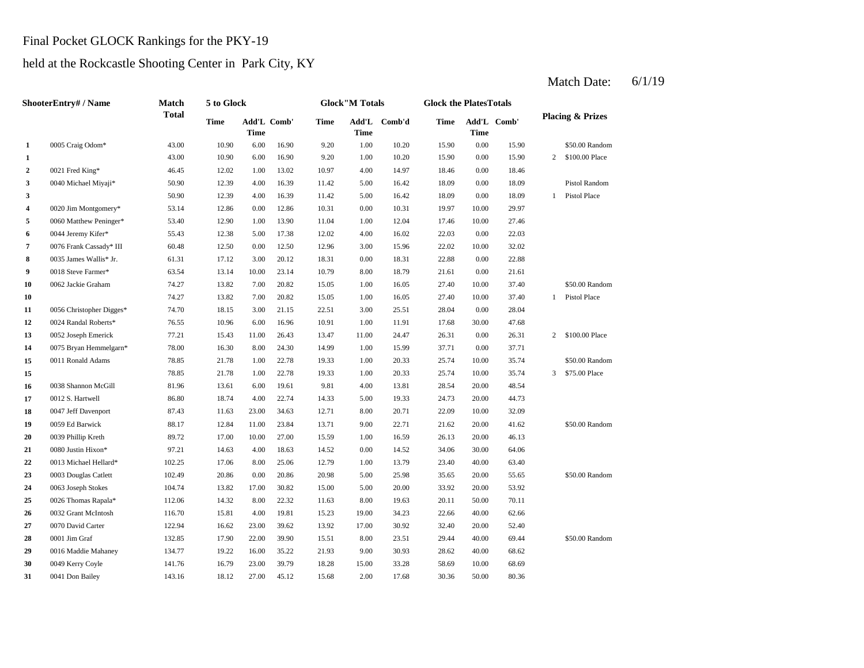#### Final Pocket GLOCK Rankings for the PKY-19

### held at the Rockcastle Shooting Center in Park City, KY

#### **1** 1.00 1.00 **1.00** 1.00 **1.00 1.00 1.00 1.00 1.00 1.00 1.00 1.00 1.00 1.00 1.00** 2 d021 Fred King\* 46.45  $12.02$   $1.00$   $13.02$   $10.97$   $4.00$   $14.97$   $18.46$ **3** 5.00 18.09 0040 Michael Miyaji\* 50.90 12.39 4.00 16.39 11.42 16.42 0.00 18.09 Pistol Random **3** 50.90 **12.39** 4.00 **16.39 11.42** 5.00 **16.42 18.09 4** 0.00 19.97 0020 Jim Montgomery\* 53.14 12.86 0.00 12.86 10.31 10.31 10.00 29.97 **5** 1.00 17.46 0060 Matthew Peninger\* 53.40 12.90 1.00 13.90 11.04 12.04 10.00 27.46 **6** 0044 Jeremy Kifer\* 55.43 12.38 5.00 17.38 12.02 4.00 16.02 22.03 0.00 22.03 **7** 3.00 **Frank Cassady\* III** 60.48 12.50 3.00 12.50 12.96 3.00 15.96 22.02 10.00 32.02 **8** 0.00 18.31 **17.12** 1.00 2.2.88 1.81 1.31 1.12 1.12 1.12 1.13.31 1.12 1.13.31 1.13.31 2.2.88 0.00 2.2.88 **9** 8.00 18 Steve Farmer\* 63.54 13.14 10.00 23.14 10.79 8.00 18.79 21.61 **10** 0062 Jackie Graham 74.27 13.82 7.00 20.82 15.05 1.00 16.05 27.40 10.00 37.40 \$50.00 Random **10** 16.05 **1.00 16.05 1.4.27 13.82 1.00 1.00 1.00 16.05 1.40 1.40 1.40 1.40 1.40 1.40 1.40 1.40 1.40 1.40 1.40 1.40 1.40 1.40 1.40 1.40 1.40 1.40 1.40 1.40 1.40 1. 11** 3.00 28.04 0056 Christopher Digges\* 74.70 18.15 3.00 21.15 22.51 25.51 0.00 28.04 **12** 0024 Randal Roberts\* 76.55 10.96 6.00 16.96 10.91 1.00 11.91 17.68 30.00 47.68 **13** 0052 Joseph Emerick 77.21 15.43 11.00 26.43 13.47 11.00 24.47 26.31 0.00 26.31 2 \$100.00 Place **14** 0075 Bryan Hemmelgarn\* 78.00 16.30 8.00 24.30 14.99 1.00 15.99 37.71 0.00 37.71 **15** 1.00 **11 Ronald Adams 18.85 1.78 1.00 22.78 1.03 1.00 20.33 25.74 15** 1.5 21.78 1.00 22.78 19.33 1.00 20.33 25.74 **16** 0038 Shannon McGill 81.96 13.61 6.00 19.61 9.81 4.00 13.81 28.54 20.00 48.54 **17 17 1012 S. Hartwell 18.50 18.74 18.74 14.33 14.33 19.33 14.73 20.00 44.73 18** 8.00 **17** Jeff Davenport 87.43 11.63 23.00 34.63 12.71 8.00 20.71 22.09 10.00 32.09 19 0059 Ed Barwick **88.17** 12.84 11.00 23.84 13.71 9.00 22.71 21.62 **20** 0039 Phillip Kreth 89.72 17.00 10.00 27.00 15.59 1.00 16.59 26.13 20.00 46.13 **21** 0.00 34.06 0080 Justin Hixon\* 97.21 14.63 4.00 18.63 14.52 14.52 30.00 64.06 **22** 1.00 23.40 0013 Michael Hellard\* 102.25 17.06 8.00 25.06 12.79 13.79 40.00 63.40 **23** 5.00 35.65 0003 Douglas Catlett 102.49 20.86 0.00 20.86 20.98 25.98 20.00 55.65 \$50.00 Random **24** 5.00 33.92 0063 Joseph Stokes 104.74 13.82 17.00 30.82 15.00 20.00 20.00 53.92 **25** 0026 Thomas Rapala\* **112.06** 14.32 8.00 22.32 11.63 8.00 19.63 20.11 50.00 70.11 **26** 0032 Grant McIntosh 116.70 15.81 4.00 19.81 15.23 19.00 34.23 22.66 40.00 62.66 **27 27 27 27 27 27 20 20 21 22.94 16.62 23.00 39.62 13.92 17.00 30.92 32.40 28** 8.00 **23.51 29.44 29.44 22.85 17.90 22.00 39.90 15.51 8.00 23.51 29.44 29** 0016 Maddie Mahaney 134.77 19.22 16.00 35.22 21.93 9.00 30.93 28.62 40.00 68.62 **30** 0049 Kerry Coyle **141.76** 16.79 23.00 39.79 18.28 15.00 33.28 58.69 **31** 2.00 30.36 **30.36 18.12 27.00 45.12 15.68 2.00 17.68 30.36 ShooterEntry# / Name Match Total 5 to Glock Time Glock"M Totals Glock the PlatesTotals Placing & Prizes Time Add'L Time** Add'L Comb' **Time Add'L Time Comb'd Time Add'L Comb' Time 1** 0005 Craig Odom\* 43.00 10.90 6.00 16.90 9.20 1.00 10.20 15.90 0.00 15.90 \$50.00 Random 43.00 10.90 6.00 16.90 9.20 10.20 0.00 15.90 2 \$100.00 Place 0021 Fred King\* 46.45 12.02 1.00 13.02 10.97 14.97 0.00 18.46 50.90 12.39 4.00 16.39 11.42 5.00 16.42 18.09 0.00 18.09 1 Pistol Place 0018 Steve Farmer\* 63.54 13.14 10.00 23.14 10.79 8.00 18.79 21.61 0.00 21.61 74.27 13.82 7.00 20.82 15.05 16.05 10.00 37.40 1 Pistol Place 0011 Ronald Adams **78.85** 21.78 1.00 22.78 19.33 1.00 20.33 25.74 10.00 35.74 \$50.00 Random 78.85 21.78 1.00 22.78 19.33 20.33 10.00 35.74 3 \$75.00 Place 0059 Ed Barwick 88.17 12.84 11.00 23.84 13.71 9.00 22.71 21.62 20.00 41.62 \$50.00 Random 0070 David Carter **122.94** 16.62 23.00 39.62 13.92 17.00 30.92 32.40 20.00 52.40 0001 Jim Graf 132.85 17.90 22.00 39.90 15.51 8.00 23.51 29.44 40.00 69.44 \$50.00 Random 0049 Kerry Coyle 2141.76 16.79 23.00 39.79 18.28 15.00 33.28 58.69 10.00 68.69 0041 Don Bailey 143.16 18.12 27.00 45.12 15.68 2.00 17.68 30.36 50.00 80.36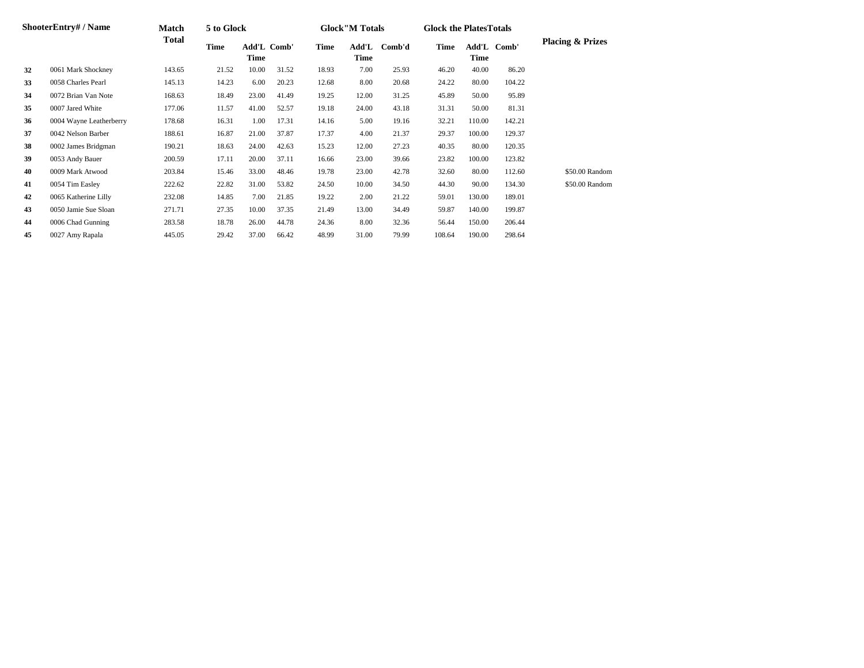|    | ShooterEntry#/Name      | <b>Match</b> | 5 to Glock |                            |       |       | <b>Glock</b> "M Totals |        | <b>Glock the Plates Totals</b> |        |             |                             |
|----|-------------------------|--------------|------------|----------------------------|-------|-------|------------------------|--------|--------------------------------|--------|-------------|-----------------------------|
|    |                         | Total        | Time       | <b>Add'L Comb'</b><br>Time |       | Time  | Add'L<br>Time          | Comb'd | Time                           | Time   | Add'L Comb' | <b>Placing &amp; Prizes</b> |
| 32 | 0061 Mark Shockney      | 143.65       | 21.52      | 10.00                      | 31.52 | 18.93 | 7.00                   | 25.93  | 46.20                          | 40.00  | 86.20       |                             |
| 33 | 0058 Charles Pearl      | 145.13       | 14.23      | 6.00                       | 20.23 | 12.68 | 8.00                   | 20.68  | 24.22                          | 80.00  | 104.22      |                             |
| 34 | 0072 Brian Van Note     | 168.63       | 18.49      | 23.00                      | 41.49 | 19.25 | 12.00                  | 31.25  | 45.89                          | 50.00  | 95.89       |                             |
| 35 | 0007 Jared White        | 177.06       | 11.57      | 41.00                      | 52.57 | 19.18 | 24.00                  | 43.18  | 31.31                          | 50.00  | 81.31       |                             |
| 36 | 0004 Wayne Leatherberry | 178.68       | 16.31      | 1.00                       | 17.31 | 14.16 | 5.00                   | 19.16  | 32.21                          | 110.00 | 142.21      |                             |
| 37 | 0042 Nelson Barber      | 188.61       | 16.87      | 21.00                      | 37.87 | 17.37 | 4.00                   | 21.37  | 29.37                          | 100.00 | 129.37      |                             |
| 38 | 0002 James Bridgman     | 190.21       | 18.63      | 24.00                      | 42.63 | 15.23 | 12.00                  | 27.23  | 40.35                          | 80.00  | 120.35      |                             |
| 39 | 0053 Andy Bauer         | 200.59       | 17.11      | 20.00                      | 37.11 | 16.66 | 23.00                  | 39.66  | 23.82                          | 100.00 | 123.82      |                             |
| 40 | 0009 Mark Atwood        | 203.84       | 15.46      | 33.00                      | 48.46 | 19.78 | 23.00                  | 42.78  | 32.60                          | 80.00  | 112.60      | \$50.00 Random              |
| 41 | 0054 Tim Easley         | 222.62       | 22.82      | 31.00                      | 53.82 | 24.50 | 10.00                  | 34.50  | 44.30                          | 90.00  | 134.30      | \$50.00 Random              |
| 42 | 0065 Katherine Lilly    | 232.08       | 14.85      | 7.00                       | 21.85 | 19.22 | 2.00                   | 21.22  | 59.01                          | 130.00 | 189.01      |                             |
| 43 | 0050 Jamie Sue Sloan    | 271.71       | 27.35      | 10.00                      | 37.35 | 21.49 | 13.00                  | 34.49  | 59.87                          | 140.00 | 199.87      |                             |
| 44 | 0006 Chad Gunning       | 283.58       | 18.78      | 26.00                      | 44.78 | 24.36 | 8.00                   | 32.36  | 56.44                          | 150.00 | 206.44      |                             |
| 45 | 0027 Amy Rapala         | 445.05       | 29.42      | 37.00                      | 66.42 | 48.99 | 31.00                  | 79.99  | 108.64                         | 190.00 | 298.64      |                             |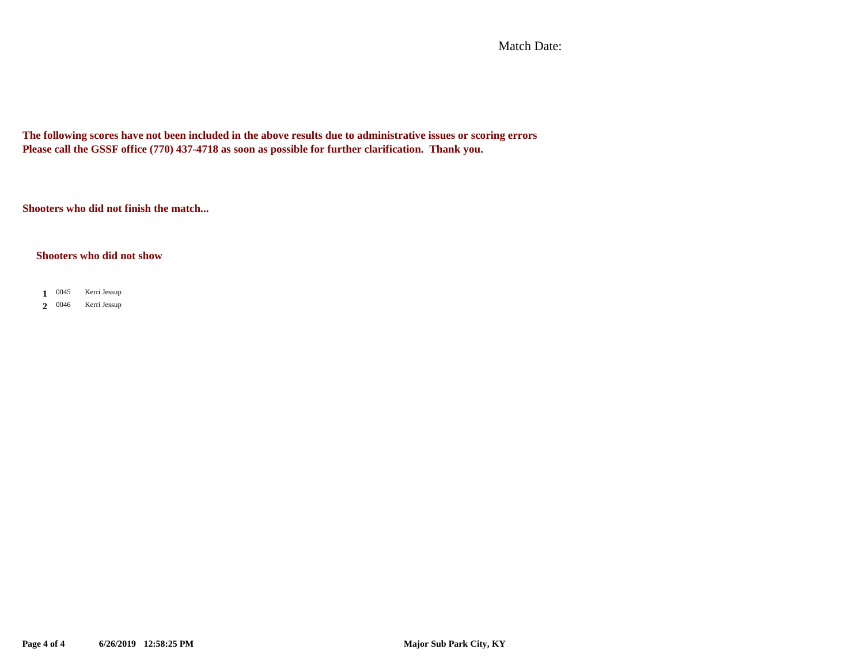Match Date:

**The following scores have not been included in the above results due to administrative issues or scoring errors Please call the GSSF office (770) 437-4718 as soon as possible for further clarification. Thank you.**

**Shooters who did not finish the match...**

#### **Shooters who did not show**

 $1 \t0045$ **1** Kerri Jessup

2 0046 Kerri Jessup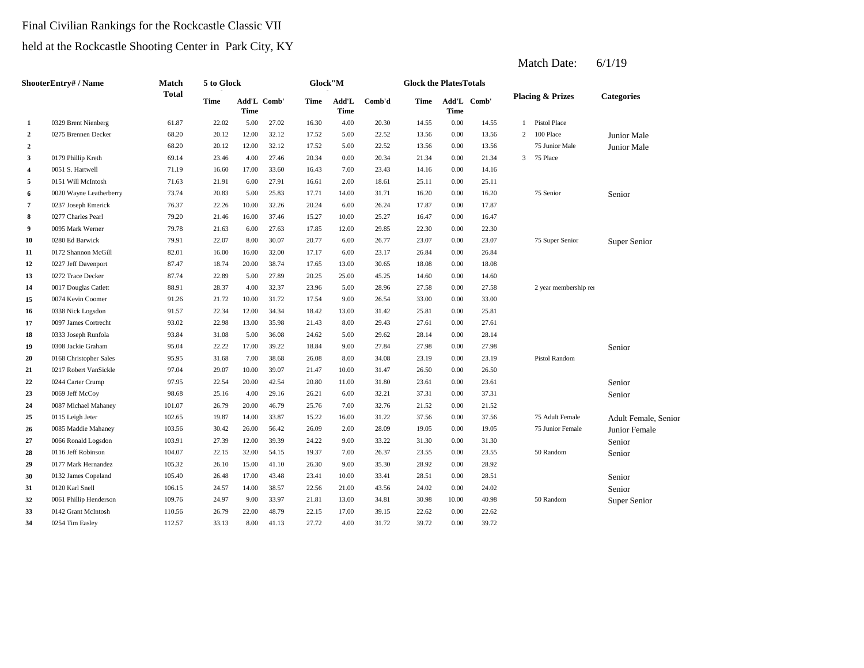## Final Civilian Rankings for the Rockcastle Classic VII

# held at the Rockcastle Shooting Center in Park City, KY

|                  | <b>ShooterEntry#/Name</b> | <b>Match</b> | 5 to Glock  |                     |       | Glock"M |               |        | <b>Glock the PlatesTotals</b> |                     |       |                |                             |                      |
|------------------|---------------------------|--------------|-------------|---------------------|-------|---------|---------------|--------|-------------------------------|---------------------|-------|----------------|-----------------------------|----------------------|
|                  |                           | <b>Total</b> | <b>Time</b> | Add'L Comb'<br>Time |       | Time    | Add'L<br>Time | Comb'd | Time                          | Add'L Comb'<br>Time |       |                | <b>Placing &amp; Prizes</b> | <b>Categories</b>    |
| 1                | 0329 Brent Nienberg       | 61.87        | 22.02       | 5.00                | 27.02 | 16.30   | 4.00          | 20.30  | 14.55                         | 0.00                | 14.55 | $\mathbf{1}$   | <b>Pistol Place</b>         |                      |
| $\boldsymbol{2}$ | 0275 Brennen Decker       | 68.20        | 20.12       | 12.00               | 32.12 | 17.52   | 5.00          | 22.52  | 13.56                         | 0.00                | 13.56 | $\overline{2}$ | 100 Place                   | Junior Male          |
| $\overline{2}$   |                           | 68.20        | 20.12       | 12.00               | 32.12 | 17.52   | 5.00          | 22.52  | 13.56                         | 0.00                | 13.56 |                | 75 Junior Male              | Junior Male          |
| 3                | 0179 Phillip Kreth        | 69.14        | 23.46       | 4.00                | 27.46 | 20.34   | 0.00          | 20.34  | 21.34                         | 0.00                | 21.34 | 3 <sup>7</sup> | 75 Place                    |                      |
| 4                | 0051 S. Hartwell          | 71.19        | 16.60       | 17.00               | 33.60 | 16.43   | 7.00          | 23.43  | 14.16                         | 0.00                | 14.16 |                |                             |                      |
| 5                | 0151 Will McIntosh        | 71.63        | 21.91       | 6.00                | 27.91 | 16.61   | 2.00          | 18.61  | 25.11                         | 0.00                | 25.11 |                |                             |                      |
| 6                | 0020 Wayne Leatherberry   | 73.74        | 20.83       | 5.00                | 25.83 | 17.71   | 14.00         | 31.71  | 16.20                         | 0.00                | 16.20 |                | 75 Senior                   | Senior               |
| 7                | 0237 Joseph Emerick       | 76.37        | 22.26       | 10.00               | 32.26 | 20.24   | 6.00          | 26.24  | 17.87                         | 0.00                | 17.87 |                |                             |                      |
| 8                | 0277 Charles Pearl        | 79.20        | 21.46       | 16.00               | 37.46 | 15.27   | 10.00         | 25.27  | 16.47                         | 0.00                | 16.47 |                |                             |                      |
| 9                | 0095 Mark Werner          | 79.78        | 21.63       | 6.00                | 27.63 | 17.85   | 12.00         | 29.85  | 22.30                         | 0.00                | 22.30 |                |                             |                      |
| 10               | 0280 Ed Barwick           | 79.91        | 22.07       | 8.00                | 30.07 | 20.77   | 6.00          | 26.77  | 23.07                         | 0.00                | 23.07 |                | 75 Super Senior             | Super Senior         |
| 11               | 0172 Shannon McGill       | 82.01        | 16.00       | 16.00               | 32.00 | 17.17   | 6.00          | 23.17  | 26.84                         | 0.00                | 26.84 |                |                             |                      |
| 12               | 0227 Jeff Davenport       | 87.47        | 18.74       | 20.00               | 38.74 | 17.65   | 13.00         | 30.65  | 18.08                         | 0.00                | 18.08 |                |                             |                      |
| 13               | 0272 Trace Decker         | 87.74        | 22.89       | 5.00                | 27.89 | 20.25   | 25.00         | 45.25  | 14.60                         | 0.00                | 14.60 |                |                             |                      |
| 14               | 0017 Douglas Catlett      | 88.91        | 28.37       | 4.00                | 32.37 | 23.96   | 5.00          | 28.96  | 27.58                         | 0.00                | 27.58 |                | 2 year membership rei       |                      |
| 15               | 0074 Kevin Coomer         | 91.26        | 21.72       | 10.00               | 31.72 | 17.54   | 9.00          | 26.54  | 33.00                         | 0.00                | 33.00 |                |                             |                      |
| 16               | 0338 Nick Logsdon         | 91.57        | 22.34       | 12.00               | 34.34 | 18.42   | 13.00         | 31.42  | 25.81                         | 0.00                | 25.81 |                |                             |                      |
| 17               | 0097 James Cortrecht      | 93.02        | 22.98       | 13.00               | 35.98 | 21.43   | 8.00          | 29.43  | 27.61                         | 0.00                | 27.61 |                |                             |                      |
| 18               | 0333 Joseph Runfola       | 93.84        | 31.08       | 5.00                | 36.08 | 24.62   | 5.00          | 29.62  | 28.14                         | 0.00                | 28.14 |                |                             |                      |
| 19               | 0308 Jackie Graham        | 95.04        | 22.22       | 17.00               | 39.22 | 18.84   | 9.00          | 27.84  | 27.98                         | 0.00                | 27.98 |                |                             | Senior               |
| 20               | 0168 Christopher Sales    | 95.95        | 31.68       | 7.00                | 38.68 | 26.08   | 8.00          | 34.08  | 23.19                         | 0.00                | 23.19 |                | Pistol Random               |                      |
| 21               | 0217 Robert VanSickle     | 97.04        | 29.07       | 10.00               | 39.07 | 21.47   | 10.00         | 31.47  | 26.50                         | 0.00                | 26.50 |                |                             |                      |
| 22               | 0244 Carter Crump         | 97.95        | 22.54       | 20.00               | 42.54 | 20.80   | 11.00         | 31.80  | 23.61                         | 0.00                | 23.61 |                |                             | Senior               |
| 23               | 0069 Jeff McCoy           | 98.68        | 25.16       | 4.00                | 29.16 | 26.21   | 6.00          | 32.21  | 37.31                         | 0.00                | 37.31 |                |                             | Senior               |
| 24               | 0087 Michael Mahaney      | 101.07       | 26.79       | 20.00               | 46.79 | 25.76   | 7.00          | 32.76  | 21.52                         | 0.00                | 21.52 |                |                             |                      |
| 25               | 0115 Leigh Jeter          | 102.65       | 19.87       | 14.00               | 33.87 | 15.22   | 16.00         | 31.22  | 37.56                         | 0.00                | 37.56 |                | 75 Adult Female             | Adult Female, Senior |
| 26               | 0085 Maddie Mahaney       | 103.56       | 30.42       | 26.00               | 56.42 | 26.09   | 2.00          | 28.09  | 19.05                         | 0.00                | 19.05 |                | 75 Junior Female            | Junior Female        |
| 27               | 0066 Ronald Logsdon       | 103.91       | 27.39       | 12.00               | 39.39 | 24.22   | 9.00          | 33.22  | 31.30                         | 0.00                | 31.30 |                |                             | Senior               |
| 28               | 0116 Jeff Robinson        | 104.07       | 22.15       | 32.00               | 54.15 | 19.37   | 7.00          | 26.37  | 23.55                         | 0.00                | 23.55 |                | 50 Random                   | Senior               |
| 29               | 0177 Mark Hernandez       | 105.32       | 26.10       | 15.00               | 41.10 | 26.30   | 9.00          | 35.30  | 28.92                         | 0.00                | 28.92 |                |                             |                      |
| 30               | 0132 James Copeland       | 105.40       | 26.48       | 17.00               | 43.48 | 23.41   | 10.00         | 33.41  | 28.51                         | 0.00                | 28.51 |                |                             | Senior               |
| 31               | 0120 Karl Snell           | 106.15       | 24.57       | 14.00               | 38.57 | 22.56   | 21.00         | 43.56  | 24.02                         | 0.00                | 24.02 |                |                             | Senior               |
| 32               | 0061 Phillip Henderson    | 109.76       | 24.97       | 9.00                | 33.97 | 21.81   | 13.00         | 34.81  | 30.98                         | 10.00               | 40.98 |                | 50 Random                   | Super Senior         |
| 33               | 0142 Grant McIntosh       | 110.56       | 26.79       | 22.00               | 48.79 | 22.15   | 17.00         | 39.15  | 22.62                         | 0.00                | 22.62 |                |                             |                      |
| 34               | 0254 Tim Easley           | 112.57       | 33.13       | 8.00                | 41.13 | 27.72   | 4.00          | 31.72  | 39.72                         | 0.00                | 39.72 |                |                             |                      |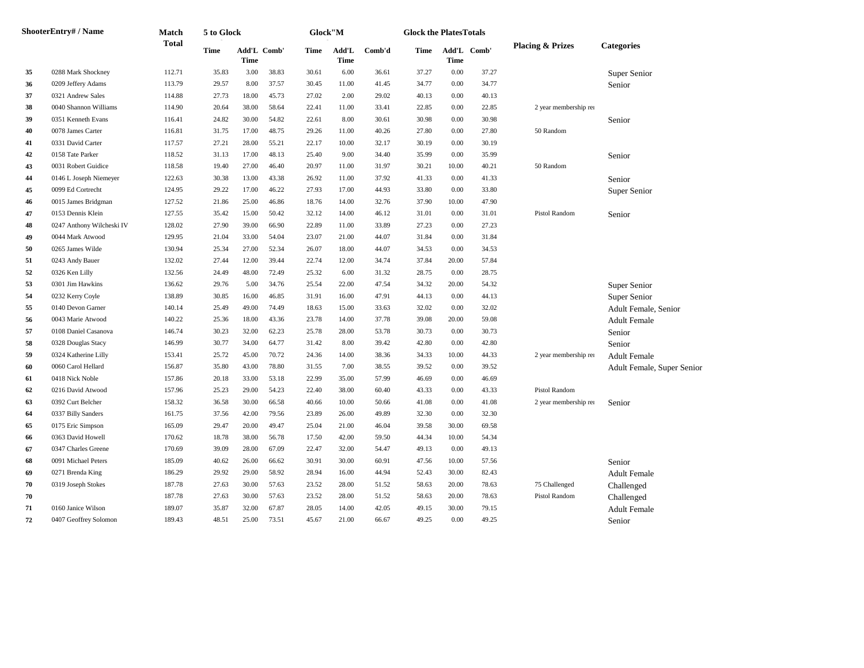|    | <b>ShooterEntry# / Name</b> | Match        | 5 to Glock  |                     |       |       | Glock"M              |        | <b>Glock the PlatesTotals</b> |             |             |                             |                            |
|----|-----------------------------|--------------|-------------|---------------------|-------|-------|----------------------|--------|-------------------------------|-------------|-------------|-----------------------------|----------------------------|
|    |                             | <b>Total</b> | <b>Time</b> | Add'L Comb'<br>Time |       | Time  | Add'L<br><b>Time</b> | Comb'd | Time                          | <b>Time</b> | Add'L Comb' | <b>Placing &amp; Prizes</b> | <b>Categories</b>          |
| 35 | 0288 Mark Shockney          | 112.71       | 35.83       | 3.00                | 38.83 | 30.61 | 6.00                 | 36.61  | 37.27                         | 0.00        | 37.27       |                             | Super Senior               |
| 36 | 0209 Jeffery Adams          | 113.79       | 29.57       | 8.00                | 37.57 | 30.45 | 11.00                | 41.45  | 34.77                         | 0.00        | 34.77       |                             | Senior                     |
| 37 | 0321 Andrew Sales           | 114.88       | 27.73       | 18.00               | 45.73 | 27.02 | 2.00                 | 29.02  | 40.13                         | 0.00        | 40.13       |                             |                            |
| 38 | 0040 Shannon Williams       | 114.90       | 20.64       | 38.00               | 58.64 | 22.41 | 11.00                | 33.41  | 22.85                         | 0.00        | 22.85       | 2 year membership rei       |                            |
| 39 | 0351 Kenneth Evans          | 116.41       | 24.82       | 30.00               | 54.82 | 22.61 | 8.00                 | 30.61  | 30.98                         | 0.00        | 30.98       |                             | Senior                     |
| 40 | 0078 James Carter           | 116.81       | 31.75       | 17.00               | 48.75 | 29.26 | 11.00                | 40.26  | 27.80                         | 0.00        | 27.80       | 50 Random                   |                            |
| 41 | 0331 David Carter           | 117.57       | 27.21       | 28.00               | 55.21 | 22.17 | 10.00                | 32.17  | 30.19                         | 0.00        | 30.19       |                             |                            |
| 42 | 0158 Tate Parker            | 118.52       | 31.13       | 17.00               | 48.13 | 25.40 | 9.00                 | 34.40  | 35.99                         | 0.00        | 35.99       |                             | Senior                     |
| 43 | 0031 Robert Guidice         | 118.58       | 19.40       | 27.00               | 46.40 | 20.97 | 11.00                | 31.97  | 30.21                         | 10.00       | 40.21       | 50 Random                   |                            |
| 44 | 0146 L Joseph Niemeyer      | 122.63       | 30.38       | 13.00               | 43.38 | 26.92 | 11.00                | 37.92  | 41.33                         | 0.00        | 41.33       |                             | Senior                     |
| 45 | 0099 Ed Cortrecht           | 124.95       | 29.22       | 17.00               | 46.22 | 27.93 | 17.00                | 44.93  | 33.80                         | 0.00        | 33.80       |                             | Super Senior               |
| 46 | 0015 James Bridgman         | 127.52       | 21.86       | 25.00               | 46.86 | 18.76 | 14.00                | 32.76  | 37.90                         | 10.00       | 47.90       |                             |                            |
| 47 | 0153 Dennis Klein           | 127.55       | 35.42       | 15.00               | 50.42 | 32.12 | 14.00                | 46.12  | 31.01                         | 0.00        | 31.01       | Pistol Random               | Senior                     |
| 48 | 0247 Anthony Wilcheski IV   | 128.02       | 27.90       | 39.00               | 66.90 | 22.89 | 11.00                | 33.89  | 27.23                         | 0.00        | 27.23       |                             |                            |
| 49 | 0044 Mark Atwood            | 129.95       | 21.04       | 33.00               | 54.04 | 23.07 | 21.00                | 44.07  | 31.84                         | 0.00        | 31.84       |                             |                            |
| 50 | 0265 James Wilde            | 130.94       | 25.34       | 27.00               | 52.34 | 26.07 | 18.00                | 44.07  | 34.53                         | 0.00        | 34.53       |                             |                            |
| 51 | 0243 Andy Bauer             | 132.02       | 27.44       | 12.00               | 39.44 | 22.74 | 12.00                | 34.74  | 37.84                         | 20.00       | 57.84       |                             |                            |
| 52 | 0326 Ken Lilly              | 132.56       | 24.49       | 48.00               | 72.49 | 25.32 | 6.00                 | 31.32  | 28.75                         | 0.00        | 28.75       |                             |                            |
| 53 | 0301 Jim Hawkins            | 136.62       | 29.76       | 5.00                | 34.76 | 25.54 | 22.00                | 47.54  | 34.32                         | 20.00       | 54.32       |                             | Super Senior               |
| 54 | 0232 Kerry Coyle            | 138.89       | 30.85       | 16.00               | 46.85 | 31.91 | 16.00                | 47.91  | 44.13                         | 0.00        | 44.13       |                             | Super Senior               |
| 55 | 0140 Devon Garner           | 140.14       | 25.49       | 49.00               | 74.49 | 18.63 | 15.00                | 33.63  | 32.02                         | 0.00        | 32.02       |                             | Adult Female, Senior       |
| 56 | 0043 Marie Atwood           | 140.22       | 25.36       | 18.00               | 43.36 | 23.78 | 14.00                | 37.78  | 39.08                         | 20.00       | 59.08       |                             | <b>Adult Female</b>        |
| 57 | 0108 Daniel Casanova        | 146.74       | 30.23       | 32.00               | 62.23 | 25.78 | 28.00                | 53.78  | 30.73                         | 0.00        | 30.73       |                             | Senior                     |
| 58 | 0328 Douglas Stacy          | 146.99       | 30.77       | 34.00               | 64.77 | 31.42 | 8.00                 | 39.42  | 42.80                         | 0.00        | 42.80       |                             | Senior                     |
| 59 | 0324 Katherine Lilly        | 153.41       | 25.72       | 45.00               | 70.72 | 24.36 | 14.00                | 38.36  | 34.33                         | 10.00       | 44.33       | 2 year membership rei       | <b>Adult Female</b>        |
| 60 | 0060 Carol Hellard          | 156.87       | 35.80       | 43.00               | 78.80 | 31.55 | 7.00                 | 38.55  | 39.52                         | 0.00        | 39.52       |                             | Adult Female, Super Senior |
| 61 | 0418 Nick Noble             | 157.86       | 20.18       | 33.00               | 53.18 | 22.99 | 35.00                | 57.99  | 46.69                         | 0.00        | 46.69       |                             |                            |
| 62 | 0216 David Atwood           | 157.96       | 25.23       | 29.00               | 54.23 | 22.40 | 38.00                | 60.40  | 43.33                         | 0.00        | 43.33       | Pistol Random               |                            |
| 63 | 0392 Curt Belcher           | 158.32       | 36.58       | 30.00               | 66.58 | 40.66 | 10.00                | 50.66  | 41.08                         | 0.00        | 41.08       | 2 year membership rei       | Senior                     |
| 64 | 0337 Billy Sanders          | 161.75       | 37.56       | 42.00               | 79.56 | 23.89 | 26.00                | 49.89  | 32.30                         | 0.00        | 32.30       |                             |                            |
| 65 | 0175 Eric Simpson           | 165.09       | 29.47       | 20.00               | 49.47 | 25.04 | 21.00                | 46.04  | 39.58                         | 30.00       | 69.58       |                             |                            |
| 66 | 0363 David Howell           | 170.62       | 18.78       | 38.00               | 56.78 | 17.50 | 42.00                | 59.50  | 44.34                         | 10.00       | 54.34       |                             |                            |
| 67 | 0347 Charles Greene         | 170.69       | 39.09       | 28.00               | 67.09 | 22.47 | 32.00                | 54.47  | 49.13                         | 0.00        | 49.13       |                             |                            |
| 68 | 0091 Michael Peters         | 185.09       | 40.62       | 26.00               | 66.62 | 30.91 | 30.00                | 60.91  | 47.56                         | 10.00       | 57.56       |                             | Senior                     |
| 69 | 0271 Brenda King            | 186.29       | 29.92       | 29.00               | 58.92 | 28.94 | 16.00                | 44.94  | 52.43                         | 30.00       | 82.43       |                             | <b>Adult Female</b>        |
| 70 | 0319 Joseph Stokes          | 187.78       | 27.63       | 30.00               | 57.63 | 23.52 | 28.00                | 51.52  | 58.63                         | 20.00       | 78.63       | 75 Challenged               | Challenged                 |
| 70 |                             | 187.78       | 27.63       | 30.00               | 57.63 | 23.52 | 28.00                | 51.52  | 58.63                         | 20.00       | 78.63       | Pistol Random               | Challenged                 |
| 71 | 0160 Janice Wilson          | 189.07       | 35.87       | 32.00               | 67.87 | 28.05 | 14.00                | 42.05  | 49.15                         | 30.00       | 79.15       |                             | <b>Adult Female</b>        |
| 72 | 0407 Geoffrey Solomon       | 189.43       | 48.51       | 25.00               | 73.51 | 45.67 | 21.00                | 66.67  | 49.25                         | 0.00        | 49.25       |                             | Senior                     |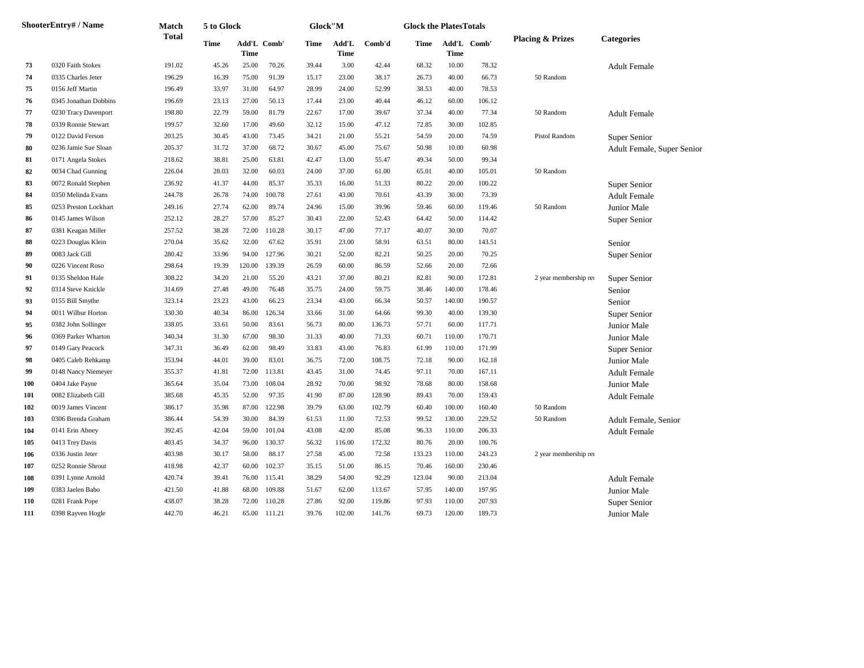|     | <b>ShooterEntry# / Name</b> | Match        | 5 to Glock |             |             | ${\bf Glock}$ 'M |               |        | <b>Glock the PlatesTotals</b> |                            |        |                             |                            |
|-----|-----------------------------|--------------|------------|-------------|-------------|------------------|---------------|--------|-------------------------------|----------------------------|--------|-----------------------------|----------------------------|
|     |                             | <b>Total</b> | Time       | <b>Time</b> | Add'L Comb' | <b>Time</b>      | Add'L<br>Time | Comb'd | Time                          | Add'L Comb'<br><b>Time</b> |        | <b>Placing &amp; Prizes</b> | <b>Categories</b>          |
| 73  | 0320 Faith Stokes           | 191.02       | 45.26      | 25.00       | 70.26       | 39.44            | 3.00          | 42.44  | 68.32                         | 10.00                      | 78.32  |                             | <b>Adult Female</b>        |
| 74  | 0335 Charles Jeter          | 196.29       | 16.39      | 75.00       | 91.39       | 15.17            | 23.00         | 38.17  | 26.73                         | 40.00                      | 66.73  | 50 Random                   |                            |
| 75  | 0156 Jeff Martin            | 196.49       | 33.97      | 31.00       | 64.97       | 28.99            | 24.00         | 52.99  | 38.53                         | 40.00                      | 78.53  |                             |                            |
| 76  | 0345 Jonathan Dobbins       | 196.69       | 23.13      | 27.00       | 50.13       | 17.44            | 23.00         | 40.44  | 46.12                         | 60.00                      | 106.12 |                             |                            |
| 77  | 0230 Tracy Davenport        | 198.80       | 22.79      | 59.00       | 81.79       | 22.67            | 17.00         | 39.67  | 37.34                         | 40.00                      | 77.34  | 50 Random                   | <b>Adult Female</b>        |
| 78  | 0339 Ronnie Stewart         | 199.57       | 32.60      | 17.00       | 49.60       | 32.12            | 15.00         | 47.12  | 72.85                         | 30.00                      | 102.85 |                             |                            |
| 79  | 0122 David Ferson           | 203.25       | 30.45      | 43.00       | 73.45       | 34.21            | 21.00         | 55.21  | 54.59                         | 20.00                      | 74.59  | Pistol Random               | Super Senior               |
| 80  | 0236 Jamie Sue Sloan        | 205.37       | 31.72      | 37.00       | 68.72       | 30.67            | 45.00         | 75.67  | 50.98                         | 10.00                      | 60.98  |                             | Adult Female, Super Senior |
| 81  | 0171 Angela Stokes          | 218.62       | 38.81      | 25.00       | 63.81       | 42.47            | 13.00         | 55.47  | 49.34                         | 50.00                      | 99.34  |                             |                            |
| 82  | 0034 Chad Gunning           | 226.04       | 28.03      | 32.00       | 60.03       | 24.00            | 37.00         | 61.00  | 65.01                         | 40.00                      | 105.01 | 50 Random                   |                            |
| 83  | 0072 Ronald Stephen         | 236.92       | 41.37      | 44.00       | 85.37       | 35.33            | 16.00         | 51.33  | 80.22                         | 20.00                      | 100.22 |                             | Super Senior               |
| 84  | 0350 Melinda Evans          | 244.78       | 26.78      | 74.00       | 100.78      | 27.61            | 43.00         | 70.61  | 43.39                         | 30.00                      | 73.39  |                             | <b>Adult Female</b>        |
| 85  | 0253 Preston Lockhart       | 249.16       | 27.74      | 62.00       | 89.74       | 24.96            | 15.00         | 39.96  | 59.46                         | 60.00                      | 119.46 | 50 Random                   | Junior Male                |
| 86  | 0145 James Wilson           | 252.12       | 28.27      | 57.00       | 85.27       | 30.43            | 22.00         | 52.43  | 64.42                         | 50.00                      | 114.42 |                             | Super Senior               |
| 87  | 0381 Keagan Miller          | 257.52       | 38.28      | 72.00       | 110.28      | 30.17            | 47.00         | 77.17  | 40.07                         | 30.00                      | 70.07  |                             |                            |
| 88  | 0223 Douglas Klein          | 270.04       | 35.62      | 32.00       | 67.62       | 35.91            | 23.00         | 58.91  | 63.51                         | 80.00                      | 143.51 |                             | Senior                     |
| 89  | 0083 Jack Gill              | 280.42       | 33.96      | 94.00       | 127.96      | 30.21            | 52.00         | 82.21  | 50.25                         | 20.00                      | 70.25  |                             | Super Senior               |
| 90  | 0226 Vincent Roso           | 298.64       | 19.39      | 120.00      | 139.39      | 26.59            | 60.00         | 86.59  | 52.66                         | 20.00                      | 72.66  |                             |                            |
| 91  | 0135 Sheldon Hale           | 308.22       | 34.20      | 21.00       | 55.20       | 43.21            | 37.00         | 80.21  | 82.81                         | 90.00                      | 172.81 | 2 year membership rei       | Super Senior               |
| 92  | 0314 Steve Knickle          | 314.69       | 27.48      | 49.00       | 76.48       | 35.75            | 24.00         | 59.75  | 38.46                         | 140.00                     | 178.46 |                             | Senior                     |
| 93  | 0155 Bill Smythe            | 323.14       | 23.23      | 43.00       | 66.23       | 23.34            | 43.00         | 66.34  | 50.57                         | 140.00                     | 190.57 |                             | Senior                     |
| 94  | 0011 Wilbur Horton          | 330.30       | 40.34      | 86.00       | 126.34      | 33.66            | 31.00         | 64.66  | 99.30                         | 40.00                      | 139.30 |                             | Super Senior               |
| 95  | 0382 John Sollinger         | 338.05       | 33.61      | 50.00       | 83.61       | 56.73            | 80.00         | 136.73 | 57.71                         | 60.00                      | 117.71 |                             | Junior Male                |
| 96  | 0369 Parker Wharton         | 340.34       | 31.30      | 67.00       | 98.30       | 31.33            | 40.00         | 71.33  | 60.71                         | 110.00                     | 170.71 |                             | Junior Male                |
| 97  | 0149 Gary Peacock           | 347.31       | 36.49      | 62.00       | 98.49       | 33.83            | 43.00         | 76.83  | 61.99                         | 110.00                     | 171.99 |                             | Super Senior               |
| 98  | 0405 Caleb Rehkamp          | 353.94       | 44.01      | 39.00       | 83.01       | 36.75            | 72.00         | 108.75 | 72.18                         | 90.00                      | 162.18 |                             | Junior Male                |
| 99  | 0148 Nancy Niemeyer         | 355.37       | 41.81      | 72.00       | 113.81      | 43.45            | 31.00         | 74.45  | 97.11                         | 70.00                      | 167.11 |                             | <b>Adult Female</b>        |
| 100 | 0404 Jake Payne             | 365.64       | 35.04      | 73.00       | 108.04      | 28.92            | 70.00         | 98.92  | 78.68                         | 80.00                      | 158.68 |                             | Junior Male                |
| 101 | 0082 Elizabeth Gill         | 385.68       | 45.35      | 52.00       | 97.35       | 41.90            | 87.00         | 128.90 | 89.43                         | 70.00                      | 159.43 |                             | <b>Adult Female</b>        |
| 102 | 0019 James Vincent          | 386.17       | 35.98      | 87.00       | 122.98      | 39.79            | 63.00         | 102.79 | 60.40                         | 100.00                     | 160.40 | 50 Random                   |                            |
| 103 | 0306 Brenda Graham          | 386.44       | 54.39      | 30.00       | 84.39       | 61.53            | 11.00         | 72.53  | 99.52                         | 130.00                     | 229.52 | 50 Random                   | Adult Female, Senior       |
| 104 | 0141 Erin Abney             | 392.45       | 42.04      | 59.00       | 101.04      | 43.08            | 42.00         | 85.08  | 96.33                         | 110.00                     | 206.33 |                             | <b>Adult Female</b>        |
| 105 | 0413 Trey Davis             | 403.45       | 34.37      | 96.00       | 130.37      | 56.32            | 116.00        | 172.32 | 80.76                         | 20.00                      | 100.76 |                             |                            |
| 106 | 0336 Justin Jeter           | 403.98       | 30.17      | 58.00       | 88.17       | 27.58            | 45.00         | 72.58  | 133.23                        | 110.00                     | 243.23 | 2 year membership rei       |                            |
| 107 | 0252 Ronnie Shrout          | 418.98       | 42.37      | 60.00       | 102.37      | 35.15            | 51.00         | 86.15  | 70.46                         | 160.00                     | 230.46 |                             |                            |
| 108 | 0391 Lynne Arnold           | 420.74       | 39.41      | 76.00       | 115.41      | 38.29            | 54.00         | 92.29  | 123.04                        | 90.00                      | 213.04 |                             | <b>Adult Female</b>        |
| 109 | 0383 Jaelen Babo            | 421.50       | 41.88      | 68.00       | 109.88      | 51.67            | 62.00         | 113.67 | 57.95                         | 140.00                     | 197.95 |                             | Junior Male                |
| 110 | 0281 Frank Pope             | 438.07       | 38.28      | 72.00       | 110.28      | 27.86            | 92.00         | 119.86 | 97.93                         | 110.00                     | 207.93 |                             | Super Senior               |
| 111 | 0398 Rayven Hogle           | 442.70       | 46.21      | 65.00       | 111.21      | 39.76            | 102.00        | 141.76 | 69.73                         | 120.00                     | 189.73 |                             | Junior Male                |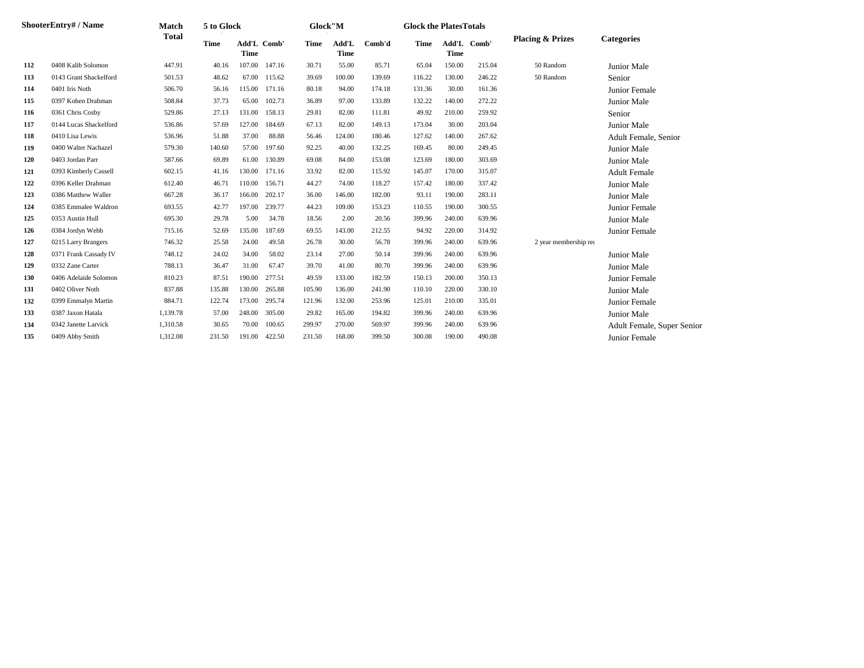|     | <b>ShooterEntry# / Name</b> | <b>Match</b> | 5 to Glock |             |             | Glock"M |                      |        | <b>Glock the PlatesTotals</b> |             |             |                             |                            |
|-----|-----------------------------|--------------|------------|-------------|-------------|---------|----------------------|--------|-------------------------------|-------------|-------------|-----------------------------|----------------------------|
|     |                             | <b>Total</b> | Time       | <b>Time</b> | Add'L Comb' | Time    | Add'L<br><b>Time</b> | Comb'd | Time                          | <b>Time</b> | Add'L Comb' | <b>Placing &amp; Prizes</b> | <b>Categories</b>          |
| 112 | 0408 Kalib Solomon          | 447.91       | 40.16      | 107.00      | 147.16      | 30.71   | 55.00                | 85.71  | 65.04                         | 150.00      | 215.04      | 50 Random                   | Junior Male                |
| 113 | 0143 Grant Shackelford      | 501.53       | 48.62      | 67.00       | 115.62      | 39.69   | 100.00               | 139.69 | 116.22                        | 130.00      | 246.22      | 50 Random                   | Senior                     |
| 114 | 0401 Iris Noth              | 506.70       | 56.16      | 115.00      | 171.16      | 80.18   | 94.00                | 174.18 | 131.36                        | 30.00       | 161.36      |                             | Junior Female              |
| 115 | 0397 Kohen Drahman          | 508.84       | 37.73      | 65.00       | 102.73      | 36.89   | 97.00                | 133.89 | 132.22                        | 140.00      | 272.22      |                             | Junior Male                |
| 116 | 0361 Chris Cosby            | 529.86       | 27.13      | 131.00      | 158.13      | 29.81   | 82.00                | 111.81 | 49.92                         | 210.00      | 259.92      |                             | Senior                     |
| 117 | 0144 Lucas Shackelford      | 536.86       | 57.69      | 127.00      | 184.69      | 67.13   | 82.00                | 149.13 | 173.04                        | 30.00       | 203.04      |                             | Junior Male                |
| 118 | 0410 Lisa Lewis             | 536.96       | 51.88      | 37.00       | 88.88       | 56.46   | 124.00               | 180.46 | 127.62                        | 140.00      | 267.62      |                             | Adult Female, Senior       |
| 119 | 0400 Walter Nachazel        | 579.30       | 140.60     | 57.00       | 197.60      | 92.25   | 40.00                | 132.25 | 169.45                        | 80.00       | 249.45      |                             | Junior Male                |
| 120 | 0403 Jordan Parr            | 587.66       | 69.89      | 61.00       | 130.89      | 69.08   | 84.00                | 153.08 | 123.69                        | 180.00      | 303.69      |                             | Junior Male                |
| 121 | 0393 Kimberly Cassell       | 602.15       | 41.16      | 130.00      | 171.16      | 33.92   | 82.00                | 115.92 | 145.07                        | 170.00      | 315.07      |                             | <b>Adult Female</b>        |
| 122 | 0396 Keller Drahman         | 612.40       | 46.71      | 110.00      | 156.71      | 44.27   | 74.00                | 118.27 | 157.42                        | 180.00      | 337.42      |                             | Junior Male                |
| 123 | 0386 Matthew Waller         | 667.28       | 36.17      | 166.00      | 202.17      | 36.00   | 146.00               | 182.00 | 93.11                         | 190.00      | 283.11      |                             | Junior Male                |
| 124 | 0385 Emmalee Waldron        | 693.55       | 42.77      | 197.00      | 239.77      | 44.23   | 109.00               | 153.23 | 110.55                        | 190.00      | 300.55      |                             | <b>Junior Female</b>       |
| 125 | 0353 Austin Hull            | 695.30       | 29.78      | 5.00        | 34.78       | 18.56   | 2.00                 | 20.56  | 399.96                        | 240.00      | 639.96      |                             | Junior Male                |
| 126 | 0384 Jordyn Webb            | 715.16       | 52.69      | 135.00      | 187.69      | 69.55   | 143.00               | 212.55 | 94.92                         | 220.00      | 314.92      |                             | Junior Female              |
| 127 | 0215 Larry Brangers         | 746.32       | 25.58      | 24.00       | 49.58       | 26.78   | 30.00                | 56.78  | 399.96                        | 240.00      | 639.96      | 2 year membership rei       |                            |
| 128 | 0371 Frank Cassady IV       | 748.12       | 24.02      | 34.00       | 58.02       | 23.14   | 27.00                | 50.14  | 399.96                        | 240.00      | 639.96      |                             | Junior Male                |
| 129 | 0332 Zane Carter            | 788.13       | 36.47      | 31.00       | 67.47       | 39.70   | 41.00                | 80.70  | 399.96                        | 240.00      | 639.96      |                             | Junior Male                |
| 130 | 0406 Adelaide Solomon       | 810.23       | 87.51      | 190.00      | 277.51      | 49.59   | 133.00               | 182.59 | 150.13                        | 200.00      | 350.13      |                             | <b>Junior Female</b>       |
| 131 | 0402 Oliver Noth            | 837.88       | 135.88     | 130.00      | 265.88      | 105.90  | 136.00               | 241.90 | 110.10                        | 220.00      | 330.10      |                             | Junior Male                |
| 132 | 0399 Emmalyn Martin         | 884.71       | 122.74     | 173.00      | 295.74      | 121.96  | 132.00               | 253.96 | 125.01                        | 210.00      | 335.01      |                             | <b>Junior Female</b>       |
| 133 | 0387 Jaxon Hatala           | 1,139.78     | 57.00      | 248.00      | 305.00      | 29.82   | 165.00               | 194.82 | 399.96                        | 240.00      | 639.96      |                             | Junior Male                |
| 134 | 0342 Janette Larvick        | 1,310.58     | 30.65      | 70.00       | 100.65      | 299.97  | 270.00               | 569.97 | 399.96                        | 240.00      | 639.96      |                             | Adult Female, Super Senior |
| 135 | 0409 Abby Smith             | 1,312.08     | 231.50     | 191.00      | 422.50      | 231.50  | 168.00               | 399.50 | 300.08                        | 190.00      | 490.08      |                             | Junior Female              |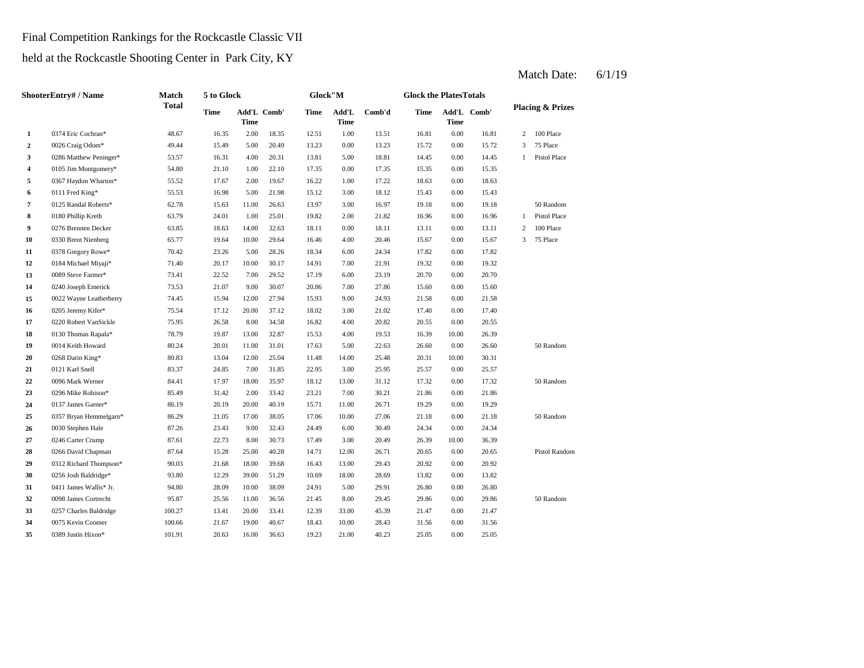## Final Competition Rankings for the Rockcastle Classic VII

held at the Rockcastle Shooting Center in Park City, KY

|                  | <b>ShooterEntry#/Name</b> | Match        | 5 to Glock |             |             | Glock"M |               |        | <b>Glock the PlatesTotals</b> |       |             |                |                             |
|------------------|---------------------------|--------------|------------|-------------|-------------|---------|---------------|--------|-------------------------------|-------|-------------|----------------|-----------------------------|
|                  |                           | <b>Total</b> | Time       | <b>Time</b> | Add'L Comb' | Time    | Add'L<br>Time | Comb'd | Time                          | Time  | Add'L Comb' |                | <b>Placing &amp; Prizes</b> |
| $\mathbf{1}$     | 0374 Eric Cochran*        | 48.67        | 16.35      | 2.00        | 18.35       | 12.51   | 1.00          | 13.51  | 16.81                         | 0.00  | 16.81       | $\overline{c}$ | 100 Place                   |
| $\mathbf{2}$     | 0026 Craig Odom*          | 49.44        | 15.49      | 5.00        | 20.49       | 13.23   | 0.00          | 13.23  | 15.72                         | 0.00  | 15.72       | 3              | 75 Place                    |
| 3                | 0286 Matthew Peninger*    | 53.57        | 16.31      | 4.00        | 20.31       | 13.81   | 5.00          | 18.81  | 14.45                         | 0.00  | 14.45       | $\mathbf{1}$   | Pistol Place                |
| 4                | 0105 Jim Montgomery*      | 54.80        | 21.10      | 1.00        | 22.10       | 17.35   | 0.00          | 17.35  | 15.35                         | 0.00  | 15.35       |                |                             |
| 5                | 0367 Haydon Wharton*      | 55.52        | 17.67      | 2.00        | 19.67       | 16.22   | 1.00          | 17.22  | 18.63                         | 0.00  | 18.63       |                |                             |
| 6                | 0111 Fred King*           | 55.53        | 16.98      | 5.00        | 21.98       | 15.12   | 3.00          | 18.12  | 15.43                         | 0.00  | 15.43       |                |                             |
| $\overline{7}$   | 0125 Randal Roberts*      | 62.78        | 15.63      | 11.00       | 26.63       | 13.97   | 3.00          | 16.97  | 19.18                         | 0.00  | 19.18       |                | 50 Random                   |
| 8                | 0180 Phillip Kreth        | 63.79        | 24.01      | 1.00        | 25.01       | 19.82   | 2.00          | 21.82  | 16.96                         | 0.00  | 16.96       | 1              | Pistol Place                |
| $\boldsymbol{9}$ | 0276 Brennen Decker       | 63.85        | 18.63      | 14.00       | 32.63       | 18.11   | 0.00          | 18.11  | 13.11                         | 0.00  | 13.11       | $\overline{c}$ | 100 Place                   |
| 10               | 0330 Brent Nienberg       | 65.77        | 19.64      | 10.00       | 29.64       | 16.46   | 4.00          | 20.46  | 15.67                         | 0.00  | 15.67       | 3              | 75 Place                    |
| 11               | 0378 Gregory Rowe*        | 70.42        | 23.26      | 5.00        | 28.26       | 18.34   | 6.00          | 24.34  | 17.82                         | 0.00  | 17.82       |                |                             |
| 12               | 0184 Michael Miyaji*      | 71.40        | 20.17      | 10.00       | 30.17       | 14.91   | 7.00          | 21.91  | 19.32                         | 0.00  | 19.32       |                |                             |
| 13               | 0089 Steve Farmer*        | 73.41        | 22.52      | 7.00        | 29.52       | 17.19   | 6.00          | 23.19  | 20.70                         | 0.00  | 20.70       |                |                             |
| 14               | 0240 Joseph Emerick       | 73.53        | 21.07      | 9.00        | 30.07       | 20.86   | 7.00          | 27.86  | 15.60                         | 0.00  | 15.60       |                |                             |
| 15               | 0022 Wayne Leatherberry   | 74.45        | 15.94      | 12.00       | 27.94       | 15.93   | 9.00          | 24.93  | 21.58                         | 0.00  | 21.58       |                |                             |
| 16               | 0205 Jeremy Kifer*        | 75.54        | 17.12      | 20.00       | 37.12       | 18.02   | 3.00          | 21.02  | 17.40                         | 0.00  | 17.40       |                |                             |
| 17               | 0220 Robert VanSickle     | 75.95        | 26.58      | 8.00        | 34.58       | 16.82   | 4.00          | 20.82  | 20.55                         | 0.00  | 20.55       |                |                             |
| 18               | 0130 Thomas Rapala*       | 78.79        | 19.87      | 13.00       | 32.87       | 15.53   | 4.00          | 19.53  | 16.39                         | 10.00 | 26.39       |                |                             |
| 19               | 0014 Keith Howard         | 80.24        | 20.01      | 11.00       | 31.01       | 17.63   | 5.00          | 22.63  | 26.60                         | 0.00  | 26.60       |                | 50 Random                   |
| 20               | 0268 Darin King*          | 80.83        | 13.04      | 12.00       | 25.04       | 11.48   | 14.00         | 25.48  | 20.31                         | 10.00 | 30.31       |                |                             |
| 21               | 0121 Karl Snell           | 83.37        | 24.85      | 7.00        | 31.85       | 22.95   | 3.00          | 25.95  | 25.57                         | 0.00  | 25.57       |                |                             |
| 22               | 0096 Mark Werner          | 84.41        | 17.97      | 18.00       | 35.97       | 18.12   | 13.00         | 31.12  | 17.32                         | 0.00  | 17.32       |                | 50 Random                   |
| 23               | 0296 Mike Robison*        | 85.49        | 31.42      | 2.00        | 33.42       | 23.21   | 7.00          | 30.21  | 21.86                         | 0.00  | 21.86       |                |                             |
| 24               | 0137 James Garner*        | 86.19        | 20.19      | 20.00       | 40.19       | 15.71   | 11.00         | 26.71  | 19.29                         | 0.00  | 19.29       |                |                             |
| 25               | 0357 Bryan Hemmelgarn*    | 86.29        | 21.05      | 17.00       | 38.05       | 17.06   | 10.00         | 27.06  | 21.18                         | 0.00  | 21.18       |                | 50 Random                   |
| 26               | 0030 Stephen Hale         | 87.26        | 23.43      | 9.00        | 32.43       | 24.49   | 6.00          | 30.49  | 24.34                         | 0.00  | 24.34       |                |                             |
| 27               | 0246 Carter Crump         | 87.61        | 22.73      | 8.00        | 30.73       | 17.49   | 3.00          | 20.49  | 26.39                         | 10.00 | 36.39       |                |                             |
| 28               | 0266 David Chapman        | 87.64        | 15.28      | 25.00       | 40.28       | 14.71   | 12.00         | 26.71  | 20.65                         | 0.00  | 20.65       |                | Pistol Random               |
| 29               | 0312 Richard Thompson*    | 90.03        | 21.68      | 18.00       | 39.68       | 16.43   | 13.00         | 29.43  | 20.92                         | 0.00  | 20.92       |                |                             |
| 30               | 0256 Josh Baldridge*      | 93.80        | 12.29      | 39.00       | 51.29       | 10.69   | 18.00         | 28.69  | 13.82                         | 0.00  | 13.82       |                |                             |
| 31               | 0411 James Wallis* Jr.    | 94.80        | 28.09      | 10.00       | 38.09       | 24.91   | 5.00          | 29.91  | 26.80                         | 0.00  | 26.80       |                |                             |
| 32               | 0098 James Cortrecht      | 95.87        | 25.56      | 11.00       | 36.56       | 21.45   | 8.00          | 29.45  | 29.86                         | 0.00  | 29.86       |                | 50 Random                   |
| 33               | 0257 Charles Baldridge    | 100.27       | 13.41      | 20.00       | 33.41       | 12.39   | 33.00         | 45.39  | 21.47                         | 0.00  | 21.47       |                |                             |
| 34               | 0075 Kevin Coomer         | 100.66       | 21.67      | 19.00       | 40.67       | 18.43   | 10.00         | 28.43  | 31.56                         | 0.00  | 31.56       |                |                             |
| 35               | 0389 Justin Hixon*        | 101.91       | 20.63      | 16.00       | 36.63       | 19.23   | 21.00         | 40.23  | 25.05                         | 0.00  | 25.05       |                |                             |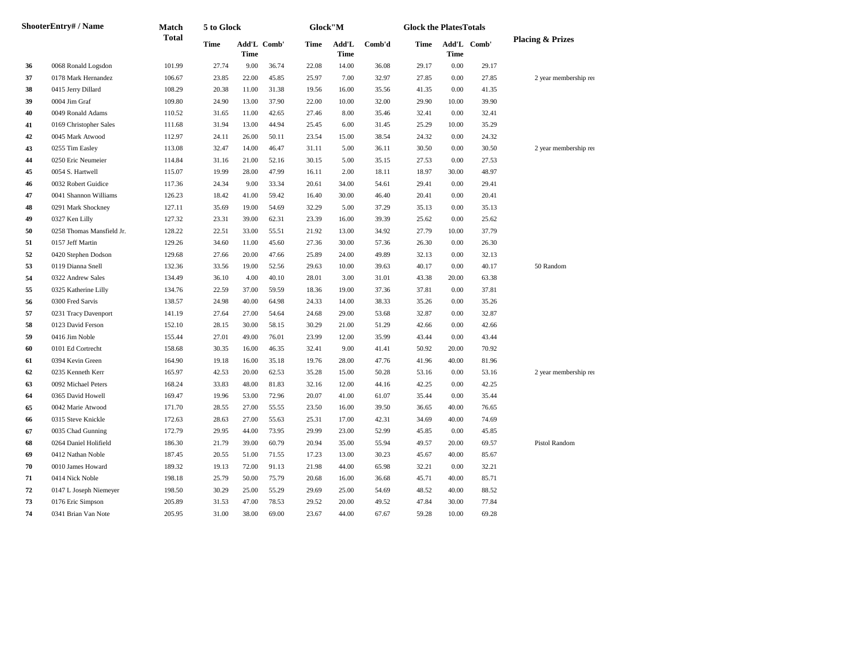|    | <b>ShooterEntry# / Name</b> | Match        | 5 to Glock  |                            |       | Glock"M |                      |        | <b>Glock the PlatesTotals</b> |                            |       |                             |
|----|-----------------------------|--------------|-------------|----------------------------|-------|---------|----------------------|--------|-------------------------------|----------------------------|-------|-----------------------------|
|    |                             | <b>Total</b> | <b>Time</b> | Add'L Comb'<br><b>Time</b> |       | Time    | Add'L<br><b>Time</b> | Comb'd | Time                          | Add'L Comb'<br><b>Time</b> |       | <b>Placing &amp; Prizes</b> |
| 36 | 0068 Ronald Logsdon         | 101.99       | 27.74       | 9.00                       | 36.74 | 22.08   | 14.00                | 36.08  | 29.17                         | 0.00                       | 29.17 |                             |
| 37 | 0178 Mark Hernandez         | 106.67       | 23.85       | 22.00                      | 45.85 | 25.97   | 7.00                 | 32.97  | 27.85                         | 0.00                       | 27.85 | 2 year membership rei       |
| 38 | 0415 Jerry Dillard          | 108.29       | 20.38       | 11.00                      | 31.38 | 19.56   | 16.00                | 35.56  | 41.35                         | 0.00                       | 41.35 |                             |
| 39 | 0004 Jim Graf               | 109.80       | 24.90       | 13.00                      | 37.90 | 22.00   | 10.00                | 32.00  | 29.90                         | 10.00                      | 39.90 |                             |
| 40 | 0049 Ronald Adams           | 110.52       | 31.65       | 11.00                      | 42.65 | 27.46   | 8.00                 | 35.46  | 32.41                         | 0.00                       | 32.41 |                             |
| 41 | 0169 Christopher Sales      | 111.68       | 31.94       | 13.00                      | 44.94 | 25.45   | 6.00                 | 31.45  | 25.29                         | 10.00                      | 35.29 |                             |
| 42 | 0045 Mark Atwood            | 112.97       | 24.11       | 26.00                      | 50.11 | 23.54   | 15.00                | 38.54  | 24.32                         | 0.00                       | 24.32 |                             |
| 43 | 0255 Tim Easley             | 113.08       | 32.47       | 14.00                      | 46.47 | 31.11   | 5.00                 | 36.11  | 30.50                         | 0.00                       | 30.50 | 2 year membership rei       |
| 44 | 0250 Eric Neumeier          | 114.84       | 31.16       | 21.00                      | 52.16 | 30.15   | 5.00                 | 35.15  | 27.53                         | 0.00                       | 27.53 |                             |
| 45 | 0054 S. Hartwell            | 115.07       | 19.99       | 28.00                      | 47.99 | 16.11   | 2.00                 | 18.11  | 18.97                         | 30.00                      | 48.97 |                             |
| 46 | 0032 Robert Guidice         | 117.36       | 24.34       | 9.00                       | 33.34 | 20.61   | 34.00                | 54.61  | 29.41                         | 0.00                       | 29.41 |                             |
| 47 | 0041 Shannon Williams       | 126.23       | 18.42       | 41.00                      | 59.42 | 16.40   | 30.00                | 46.40  | 20.41                         | 0.00                       | 20.41 |                             |
| 48 | 0291 Mark Shockney          | 127.11       | 35.69       | 19.00                      | 54.69 | 32.29   | 5.00                 | 37.29  | 35.13                         | 0.00                       | 35.13 |                             |
| 49 | 0327 Ken Lilly              | 127.32       | 23.31       | 39.00                      | 62.31 | 23.39   | 16.00                | 39.39  | 25.62                         | 0.00                       | 25.62 |                             |
| 50 | 0258 Thomas Mansfield Jr.   | 128.22       | 22.51       | 33.00                      | 55.51 | 21.92   | 13.00                | 34.92  | 27.79                         | 10.00                      | 37.79 |                             |
| 51 | 0157 Jeff Martin            | 129.26       | 34.60       | 11.00                      | 45.60 | 27.36   | 30.00                | 57.36  | 26.30                         | 0.00                       | 26.30 |                             |
| 52 | 0420 Stephen Dodson         | 129.68       | 27.66       | 20.00                      | 47.66 | 25.89   | 24.00                | 49.89  | 32.13                         | 0.00                       | 32.13 |                             |
| 53 | 0119 Dianna Snell           | 132.36       | 33.56       | 19.00                      | 52.56 | 29.63   | 10.00                | 39.63  | 40.17                         | 0.00                       | 40.17 | 50 Random                   |
| 54 | 0322 Andrew Sales           | 134.49       | 36.10       | 4.00                       | 40.10 | 28.01   | 3.00                 | 31.01  | 43.38                         | 20.00                      | 63.38 |                             |
| 55 | 0325 Katherine Lilly        | 134.76       | 22.59       | 37.00                      | 59.59 | 18.36   | 19.00                | 37.36  | 37.81                         | 0.00                       | 37.81 |                             |
| 56 | 0300 Fred Sarvis            | 138.57       | 24.98       | 40.00                      | 64.98 | 24.33   | 14.00                | 38.33  | 35.26                         | 0.00                       | 35.26 |                             |
| 57 | 0231 Tracy Davenport        | 141.19       | 27.64       | 27.00                      | 54.64 | 24.68   | 29.00                | 53.68  | 32.87                         | 0.00                       | 32.87 |                             |
| 58 | 0123 David Ferson           | 152.10       | 28.15       | 30.00                      | 58.15 | 30.29   | 21.00                | 51.29  | 42.66                         | 0.00                       | 42.66 |                             |
| 59 | 0416 Jim Noble              | 155.44       | 27.01       | 49.00                      | 76.01 | 23.99   | 12.00                | 35.99  | 43.44                         | 0.00                       | 43.44 |                             |
| 60 | 0101 Ed Cortrecht           | 158.68       | 30.35       | 16.00                      | 46.35 | 32.41   | 9.00                 | 41.41  | 50.92                         | 20.00                      | 70.92 |                             |
| 61 | 0394 Kevin Green            | 164.90       | 19.18       | 16.00                      | 35.18 | 19.76   | 28.00                | 47.76  | 41.96                         | 40.00                      | 81.96 |                             |
| 62 | 0235 Kenneth Kerr           | 165.97       | 42.53       | 20.00                      | 62.53 | 35.28   | 15.00                | 50.28  | 53.16                         | 0.00                       | 53.16 | 2 year membership rei       |
| 63 | 0092 Michael Peters         | 168.24       | 33.83       | 48.00                      | 81.83 | 32.16   | 12.00                | 44.16  | 42.25                         | 0.00                       | 42.25 |                             |
| 64 | 0365 David Howell           | 169.47       | 19.96       | 53.00                      | 72.96 | 20.07   | 41.00                | 61.07  | 35.44                         | 0.00                       | 35.44 |                             |
| 65 | 0042 Marie Atwood           | 171.70       | 28.55       | 27.00                      | 55.55 | 23.50   | 16.00                | 39.50  | 36.65                         | 40.00                      | 76.65 |                             |
| 66 | 0315 Steve Knickle          | 172.63       | 28.63       | 27.00                      | 55.63 | 25.31   | 17.00                | 42.31  | 34.69                         | 40.00                      | 74.69 |                             |
| 67 | 0035 Chad Gunning           | 172.79       | 29.95       | 44.00                      | 73.95 | 29.99   | 23.00                | 52.99  | 45.85                         | 0.00                       | 45.85 |                             |
| 68 | 0264 Daniel Holifield       | 186.30       | 21.79       | 39.00                      | 60.79 | 20.94   | 35.00                | 55.94  | 49.57                         | 20.00                      | 69.57 | Pistol Random               |
| 69 | 0412 Nathan Noble           | 187.45       | 20.55       | 51.00                      | 71.55 | 17.23   | 13.00                | 30.23  | 45.67                         | 40.00                      | 85.67 |                             |
| 70 | 0010 James Howard           | 189.32       | 19.13       | 72.00                      | 91.13 | 21.98   | 44.00                | 65.98  | 32.21                         | 0.00                       | 32.21 |                             |
| 71 | 0414 Nick Noble             | 198.18       | 25.79       | 50.00                      | 75.79 | 20.68   | 16.00                | 36.68  | 45.71                         | 40.00                      | 85.71 |                             |
| 72 | 0147 L Joseph Niemeyer      | 198.50       | 30.29       | 25.00                      | 55.29 | 29.69   | 25.00                | 54.69  | 48.52                         | 40.00                      | 88.52 |                             |
| 73 | 0176 Eric Simpson           | 205.89       | 31.53       | 47.00                      | 78.53 | 29.52   | 20.00                | 49.52  | 47.84                         | 30.00                      | 77.84 |                             |
| 74 | 0341 Brian Van Note         | 205.95       | 31.00       | 38.00                      | 69.00 | 23.67   | 44.00                | 67.67  | 59.28                         | 10.00                      | 69.28 |                             |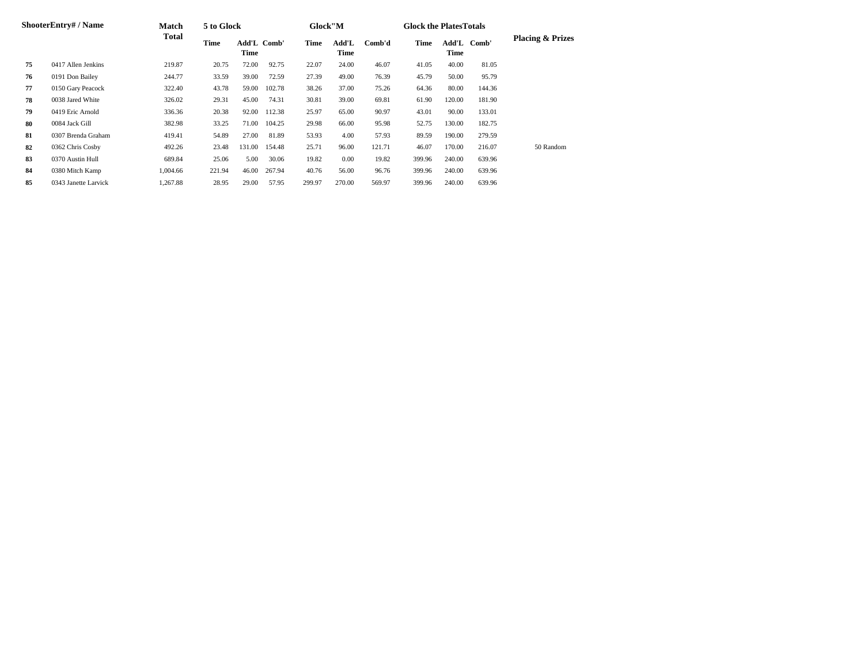|    | ShooterEntry# / Name | Match    | 5 to Glock  |                            |        | Glock"M |               |        | <b>Glock the Plates Totals</b> |                      |        |                             |
|----|----------------------|----------|-------------|----------------------------|--------|---------|---------------|--------|--------------------------------|----------------------|--------|-----------------------------|
|    |                      | Total    | <b>Time</b> | Add'L Comb'<br><b>Time</b> |        | Time    | Add'L<br>Time | Comb'd | <b>Time</b>                    | Add'L<br><b>Time</b> | Comb'  | <b>Placing &amp; Prizes</b> |
| 75 | 0417 Allen Jenkins   | 219.87   | 20.75       | 72.00                      | 92.75  | 22.07   | 24.00         | 46.07  | 41.05                          | 40.00                | 81.05  |                             |
| 76 | 0191 Don Bailey      | 244.77   | 33.59       | 39.00                      | 72.59  | 27.39   | 49.00         | 76.39  | 45.79                          | 50.00                | 95.79  |                             |
| 77 | 0150 Gary Peacock    | 322.40   | 43.78       | 59.00                      | 102.78 | 38.26   | 37.00         | 75.26  | 64.36                          | 80.00                | 144.36 |                             |
| 78 | 0038 Jared White     | 326.02   | 29.31       | 45.00                      | 74.31  | 30.81   | 39.00         | 69.81  | 61.90                          | 120.00               | 181.90 |                             |
| 79 | 0419 Eric Arnold     | 336.36   | 20.38       | 92.00                      | 112.38 | 25.97   | 65.00         | 90.97  | 43.01                          | 90.00                | 133.01 |                             |
| 80 | 0084 Jack Gill       | 382.98   | 33.25       | 71.00                      | 104.25 | 29.98   | 66.00         | 95.98  | 52.75                          | 130.00               | 182.75 |                             |
| 81 | 0307 Brenda Graham   | 419.41   | 54.89       | 27.00                      | 81.89  | 53.93   | 4.00          | 57.93  | 89.59                          | 190.00               | 279.59 |                             |
| 82 | 0362 Chris Cosby     | 492.26   | 23.48       | 131.00                     | 154.48 | 25.71   | 96.00         | 121.71 | 46.07                          | 170.00               | 216.07 | 50 Random                   |
| 83 | 0370 Austin Hull     | 689.84   | 25.06       | 5.00                       | 30.06  | 19.82   | 0.00          | 19.82  | 399.96                         | 240.00               | 639.96 |                             |
| 84 | 0380 Mitch Kamp      | 1,004.66 | 221.94      | 46.00                      | 267.94 | 40.76   | 56.00         | 96.76  | 399.96                         | 240.00               | 639.96 |                             |
| 85 | 0343 Janette Larvick | 1,267.88 | 28.95       | 29.00                      | 57.95  | 299.97  | 270.00        | 569.97 | 399.96                         | 240.00               | 639.96 |                             |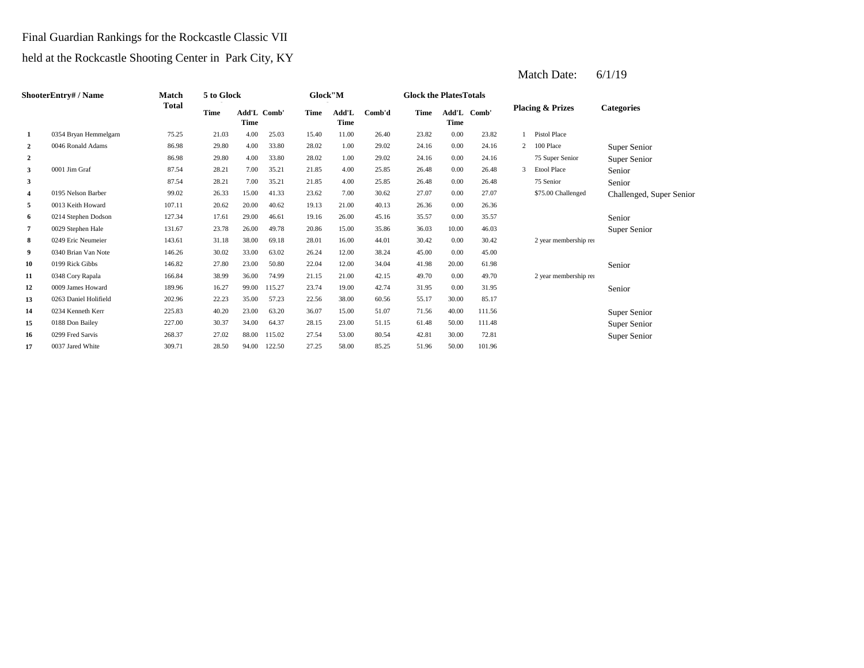## Final Guardian Rankings for the Rockcastle Classic VII

# held at the Rockcastle Shooting Center in Park City, KY

|                         | ShooterEntry# / Name  | Match        | 5 to Glock |       |             | Glock"M |                      |        | <b>Glock the PlatesTotals</b> |             |             |                |                             |                          |
|-------------------------|-----------------------|--------------|------------|-------|-------------|---------|----------------------|--------|-------------------------------|-------------|-------------|----------------|-----------------------------|--------------------------|
|                         |                       | <b>Total</b> | Time       | Time  | Add'L Comb' | Time    | Add'L<br><b>Time</b> | Comb'd | Time                          | <b>Time</b> | Add'L Comb' |                | <b>Placing &amp; Prizes</b> | <b>Categories</b>        |
| 1                       | 0354 Bryan Hemmelgarn | 75.25        | 21.03      | 4.00  | 25.03       | 15.40   | 11.00                | 26.40  | 23.82                         | 0.00        | 23.82       |                | <b>Pistol Place</b>         |                          |
| $\overline{2}$          | 0046 Ronald Adams     | 86.98        | 29.80      | 4.00  | 33.80       | 28.02   | 1.00                 | 29.02  | 24.16                         | 0.00        | 24.16       | $\overline{2}$ | 100 Place                   | Super Senior             |
| $\overline{2}$          |                       | 86.98        | 29.80      | 4.00  | 33.80       | 28.02   | 1.00                 | 29.02  | 24.16                         | 0.00        | 24.16       |                | 75 Super Senior             | Super Senior             |
| 3                       | 0001 Jim Graf         | 87.54        | 28.21      | 7.00  | 35.21       | 21.85   | 4.00                 | 25.85  | 26.48                         | 0.00        | 26.48       | 3              | <b>Etool Place</b>          | Senior                   |
| 3                       |                       | 87.54        | 28.21      | 7.00  | 35.21       | 21.85   | 4.00                 | 25.85  | 26.48                         | 0.00        | 26.48       |                | 75 Senior                   | Senior                   |
| $\overline{\mathbf{4}}$ | 0195 Nelson Barber    | 99.02        | 26.33      | 15.00 | 41.33       | 23.62   | 7.00                 | 30.62  | 27.07                         | 0.00        | 27.07       |                | \$75.00 Challenged          | Challenged, Super Senior |
| 5                       | 0013 Keith Howard     | 107.11       | 20.62      | 20.00 | 40.62       | 19.13   | 21.00                | 40.13  | 26.36                         | 0.00        | 26.36       |                |                             |                          |
| 6                       | 0214 Stephen Dodson   | 127.34       | 17.61      | 29.00 | 46.61       | 19.16   | 26.00                | 45.16  | 35.57                         | 0.00        | 35.57       |                |                             | Senior                   |
| 7                       | 0029 Stephen Hale     | 131.67       | 23.78      | 26.00 | 49.78       | 20.86   | 15.00                | 35.86  | 36.03                         | 10.00       | 46.03       |                |                             | Super Senior             |
| 8                       | 0249 Eric Neumeier    | 143.61       | 31.18      | 38.00 | 69.18       | 28.01   | 16.00                | 44.01  | 30.42                         | 0.00        | 30.42       |                | 2 year membership rei       |                          |
| 9                       | 0340 Brian Van Note   | 146.26       | 30.02      | 33.00 | 63.02       | 26.24   | 12.00                | 38.24  | 45.00                         | 0.00        | 45.00       |                |                             |                          |
| 10                      | 0199 Rick Gibbs       | 146.82       | 27.80      | 23.00 | 50.80       | 22.04   | 12.00                | 34.04  | 41.98                         | 20.00       | 61.98       |                |                             | Senior                   |
| 11                      | 0348 Cory Rapala      | 166.84       | 38.99      | 36.00 | 74.99       | 21.15   | 21.00                | 42.15  | 49.70                         | 0.00        | 49.70       |                | 2 year membership rei       |                          |
| 12                      | 0009 James Howard     | 189.96       | 16.27      | 99.00 | 115.27      | 23.74   | 19.00                | 42.74  | 31.95                         | 0.00        | 31.95       |                |                             | Senior                   |
| 13                      | 0263 Daniel Holifield | 202.96       | 22.23      | 35.00 | 57.23       | 22.56   | 38.00                | 60.56  | 55.17                         | 30.00       | 85.17       |                |                             |                          |
| 14                      | 0234 Kenneth Kerr     | 225.83       | 40.20      | 23.00 | 63.20       | 36.07   | 15.00                | 51.07  | 71.56                         | 40.00       | 111.56      |                |                             | Super Senior             |
| 15                      | 0188 Don Bailey       | 227.00       | 30.37      | 34.00 | 64.37       | 28.15   | 23.00                | 51.15  | 61.48                         | 50.00       | 111.48      |                |                             | Super Senior             |
| 16                      | 0299 Fred Sarvis      | 268.37       | 27.02      | 88.00 | 115.02      | 27.54   | 53.00                | 80.54  | 42.81                         | 30.00       | 72.81       |                |                             | Super Senior             |
| 17                      | 0037 Jared White      | 309.71       | 28.50      | 94.00 | 122.50      | 27.25   | 58.00                | 85.25  | 51.96                         | 50.00       | 101.96      |                |                             |                          |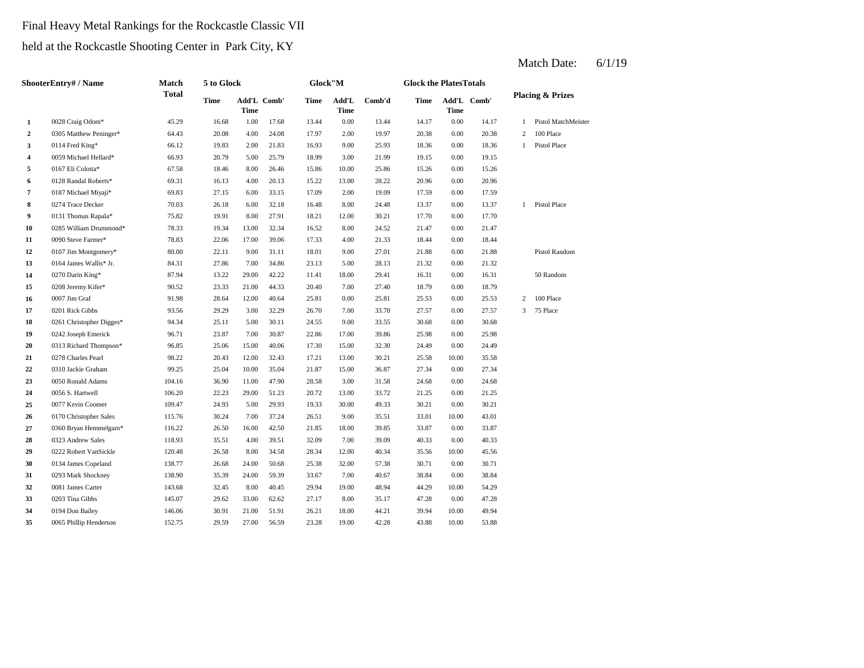## Final Heavy Metal Rankings for the Rockcastle Classic VII

held at the Rockcastle Shooting Center in Park City, KY

|                | <b>ShooterEntry#/Name</b> | Match        | 5 to Glock  |       |             | Glock"M |               |        | <b>Glock the PlatesTotals</b> |       |             |   |                             |
|----------------|---------------------------|--------------|-------------|-------|-------------|---------|---------------|--------|-------------------------------|-------|-------------|---|-----------------------------|
|                |                           | <b>Total</b> | <b>Time</b> | Time  | Add'L Comb' | Time    | Add'L<br>Time | Comb'd | Time                          | Time  | Add'L Comb' |   | <b>Placing &amp; Prizes</b> |
| 1              | 0028 Craig Odom*          | 45.29        | 16.68       | 1.00  | 17.68       | 13.44   | 0.00          | 13.44  | 14.17                         | 0.00  | 14.17       | 1 | Pistol MatchMeister         |
| $\overline{2}$ | 0305 Matthew Peninger*    | 64.43        | 20.08       | 4.00  | 24.08       | 17.97   | 2.00          | 19.97  | 20.38                         | 0.00  | 20.38       | 2 | 100 Place                   |
| 3              | 0114 Fred King*           | 66.12        | 19.83       | 2.00  | 21.83       | 16.93   | 9.00          | 25.93  | 18.36                         | 0.00  | 18.36       | 1 | Pistol Place                |
| 4              | 0059 Michael Hellard*     | 66.93        | 20.79       | 5.00  | 25.79       | 18.99   | 3.00          | 21.99  | 19.15                         | 0.00  | 19.15       |   |                             |
| 5              | 0167 Eli Colotta*         | 67.58        | 18.46       | 8.00  | 26.46       | 15.86   | 10.00         | 25.86  | 15.26                         | 0.00  | 15.26       |   |                             |
| 6              | 0128 Randal Roberts*      | 69.31        | 16.13       | 4.00  | 20.13       | 15.22   | 13.00         | 28.22  | 20.96                         | 0.00  | 20.96       |   |                             |
| $\overline{7}$ | 0187 Michael Miyaji*      | 69.83        | 27.15       | 6.00  | 33.15       | 17.09   | 2.00          | 19.09  | 17.59                         | 0.00  | 17.59       |   |                             |
| 8              | 0274 Trace Decker         | 70.03        | 26.18       | 6.00  | 32.18       | 16.48   | 8.00          | 24.48  | 13.37                         | 0.00  | 13.37       |   | 1 Pistol Place              |
| 9              | 0131 Thomas Rapala*       | 75.82        | 19.91       | 8.00  | 27.91       | 18.21   | 12.00         | 30.21  | 17.70                         | 0.00  | 17.70       |   |                             |
| 10             | 0285 William Drummond*    | 78.33        | 19.34       | 13.00 | 32.34       | 16.52   | 8.00          | 24.52  | 21.47                         | 0.00  | 21.47       |   |                             |
| 11             | 0090 Steve Farmer*        | 78.83        | 22.06       | 17.00 | 39.06       | 17.33   | 4.00          | 21.33  | 18.44                         | 0.00  | 18.44       |   |                             |
| 12             | 0107 Jim Montgomery*      | 80.00        | 22.11       | 9.00  | 31.11       | 18.01   | 9.00          | 27.01  | 21.88                         | 0.00  | 21.88       |   | Pistol Random               |
| 13             | 0164 James Wallis* Jr.    | 84.31        | 27.86       | 7.00  | 34.86       | 23.13   | 5.00          | 28.13  | 21.32                         | 0.00  | 21.32       |   |                             |
| 14             | 0270 Darin King*          | 87.94        | 13.22       | 29.00 | 42.22       | 11.41   | 18.00         | 29.41  | 16.31                         | 0.00  | 16.31       |   | 50 Random                   |
| 15             | 0208 Jeremy Kifer*        | 90.52        | 23.33       | 21.00 | 44.33       | 20.40   | 7.00          | 27.40  | 18.79                         | 0.00  | 18.79       |   |                             |
| 16             | 0007 Jim Graf             | 91.98        | 28.64       | 12.00 | 40.64       | 25.81   | 0.00          | 25.81  | 25.53                         | 0.00  | 25.53       | 2 | 100 Place                   |
| 17             | 0201 Rick Gibbs           | 93.56        | 29.29       | 3.00  | 32.29       | 26.70   | 7.00          | 33.70  | 27.57                         | 0.00  | 27.57       | 3 | 75 Place                    |
| 18             | 0261 Christopher Digges*  | 94.34        | 25.11       | 5.00  | 30.11       | 24.55   | 9.00          | 33.55  | 30.68                         | 0.00  | 30.68       |   |                             |
| 19             | 0242 Joseph Emerick       | 96.71        | 23.87       | 7.00  | 30.87       | 22.86   | 17.00         | 39.86  | 25.98                         | 0.00  | 25.98       |   |                             |
| 20             | 0313 Richard Thompson*    | 96.85        | 25.06       | 15.00 | 40.06       | 17.30   | 15.00         | 32.30  | 24.49                         | 0.00  | 24.49       |   |                             |
| 21             | 0278 Charles Pearl        | 98.22        | 20.43       | 12.00 | 32.43       | 17.21   | 13.00         | 30.21  | 25.58                         | 10.00 | 35.58       |   |                             |
| 22             | 0310 Jackie Graham        | 99.25        | 25.04       | 10.00 | 35.04       | 21.87   | 15.00         | 36.87  | 27.34                         | 0.00  | 27.34       |   |                             |
| 23             | 0050 Ronald Adams         | 104.16       | 36.90       | 11.00 | 47.90       | 28.58   | 3.00          | 31.58  | 24.68                         | 0.00  | 24.68       |   |                             |
| 24             | 0056 S. Hartwell          | 106.20       | 22.23       | 29.00 | 51.23       | 20.72   | 13.00         | 33.72  | 21.25                         | 0.00  | 21.25       |   |                             |
| 25             | 0077 Kevin Coomer         | 109.47       | 24.93       | 5.00  | 29.93       | 19.33   | 30.00         | 49.33  | 30.21                         | 0.00  | 30.21       |   |                             |
| 26             | 0170 Christopher Sales    | 115.76       | 30.24       | 7.00  | 37.24       | 26.51   | 9.00          | 35.51  | 33.01                         | 10.00 | 43.01       |   |                             |
| 27             | 0360 Bryan Hemmelgarn*    | 116.22       | 26.50       | 16.00 | 42.50       | 21.85   | 18.00         | 39.85  | 33.87                         | 0.00  | 33.87       |   |                             |
| 28             | 0323 Andrew Sales         | 118.93       | 35.51       | 4.00  | 39.51       | 32.09   | 7.00          | 39.09  | 40.33                         | 0.00  | 40.33       |   |                             |
| 29             | 0222 Robert VanSickle     | 120.48       | 26.58       | 8.00  | 34.58       | 28.34   | 12.00         | 40.34  | 35.56                         | 10.00 | 45.56       |   |                             |
| 30             | 0134 James Copeland       | 138.77       | 26.68       | 24.00 | 50.68       | 25.38   | 32.00         | 57.38  | 30.71                         | 0.00  | 30.71       |   |                             |
| 31             | 0293 Mark Shockney        | 138.90       | 35.39       | 24.00 | 59.39       | 33.67   | 7.00          | 40.67  | 38.84                         | 0.00  | 38.84       |   |                             |
| 32             | 0081 James Carter         | 143.68       | 32.45       | 8.00  | 40.45       | 29.94   | 19.00         | 48.94  | 44.29                         | 10.00 | 54.29       |   |                             |
| 33             | 0203 Tina Gibbs           | 145.07       | 29.62       | 33.00 | 62.62       | 27.17   | 8.00          | 35.17  | 47.28                         | 0.00  | 47.28       |   |                             |
| 34             | 0194 Don Bailey           | 146.06       | 30.91       | 21.00 | 51.91       | 26.21   | 18.00         | 44.21  | 39.94                         | 10.00 | 49.94       |   |                             |
| 35             | 0065 Phillip Henderson    | 152.75       | 29.59       | 27.00 | 56.59       | 23.28   | 19.00         | 42.28  | 43.88                         | 10.00 | 53.88       |   |                             |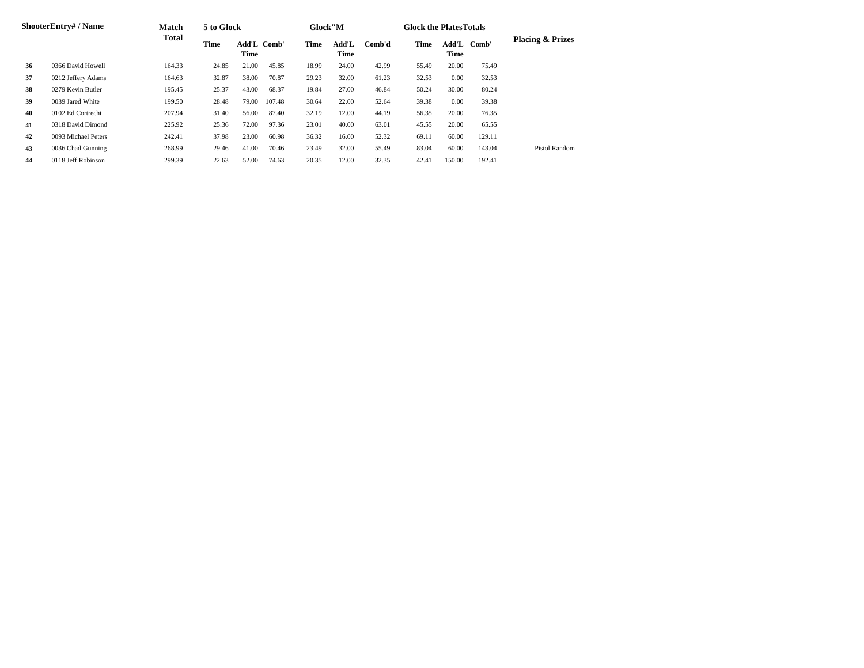|    | ShooterEntry# / Name | Match  | 5 to Glock |                     |        | Glock"M |               |        | <b>Glock the PlatesTotals</b> |                     |        |                             |
|----|----------------------|--------|------------|---------------------|--------|---------|---------------|--------|-------------------------------|---------------------|--------|-----------------------------|
|    |                      | Total  | Time       | Add'L Comb'<br>Time |        | Time    | Add'L<br>Time | Comb'd | Time                          | Add'L Comb'<br>Time |        | <b>Placing &amp; Prizes</b> |
| 36 | 0366 David Howell    | 164.33 | 24.85      | 21.00               | 45.85  | 18.99   | 24.00         | 42.99  | 55.49                         | 20.00               | 75.49  |                             |
| 37 | 0212 Jeffery Adams   | 164.63 | 32.87      | 38.00               | 70.87  | 29.23   | 32.00         | 61.23  | 32.53                         | 0.00                | 32.53  |                             |
| 38 | 0279 Kevin Butler    | 195.45 | 25.37      | 43.00               | 68.37  | 19.84   | 27.00         | 46.84  | 50.24                         | 30.00               | 80.24  |                             |
| 39 | 0039 Jared White     | 199.50 | 28.48      | 79.00               | 107.48 | 30.64   | 22.00         | 52.64  | 39.38                         | 0.00                | 39.38  |                             |
| 40 | 0102 Ed Cortrecht    | 207.94 | 31.40      | 56.00               | 87.40  | 32.19   | 12.00         | 44.19  | 56.35                         | 20.00               | 76.35  |                             |
| 41 | 0318 David Dimond    | 225.92 | 25.36      | 72.00               | 97.36  | 23.01   | 40.00         | 63.01  | 45.55                         | 20.00               | 65.55  |                             |
| 42 | 0093 Michael Peters  | 242.41 | 37.98      | 23.00               | 60.98  | 36.32   | 16.00         | 52.32  | 69.11                         | 60.00               | 129.11 |                             |
| 43 | 0036 Chad Gunning    | 268.99 | 29.46      | 41.00               | 70.46  | 23.49   | 32.00         | 55.49  | 83.04                         | 60.00               | 143.04 | Pistol Random               |
| 44 | 0118 Jeff Robinson   | 299.39 | 22.63      | 52.00               | 74.63  | 20.35   | 12.00         | 32.35  | 42.41                         | 150.00              | 192.41 |                             |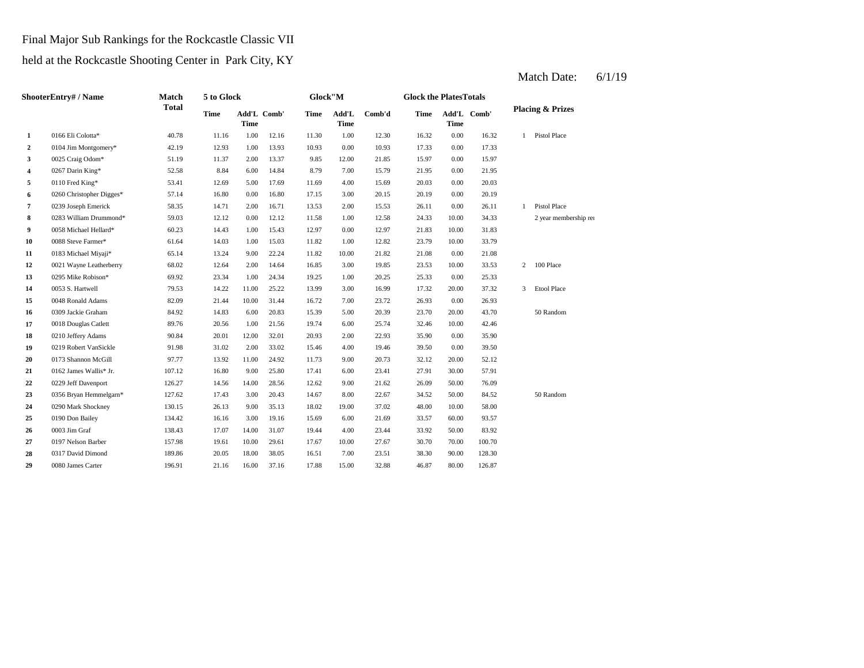#### Final Major Sub Rankings for the Rockcastle Classic VII

#### held at the Rockcastle Shooting Center in Park City, KY

#### **2** 0.00 17.33 0104 Jim Montgomery\* 42.19 12.93 1.00 13.93 10.93 10.93 0.00 **3** 12.00 025 Craig Odom\* 51.19 11.37 2.00 13.37 9.85 12.00 21.85 15.97 0.00 15.97 **4** 7.00 21.95 0267 Darin King\* 52.58 8.84 6.00 14.84 8.79 **5**  $0110$  Fred King\* **53.41** 12.69 5.00 17.69 11.69 4.00 15.69 20.03 **6** 3.00 260 Christopher Digges\* 57.14 16.80 0.00 16.80 17.15 3.00 20.15 20.19 0.00 **7** 0239 Joseph Emerick 58.35 14.71 2.00 16.71 13.53 2.00 15.53 26.11 0.00 26.11 **8** 1.00 12.58 1.000 12.12 0.00 12.12 1.58 1.00 12.58 1.33 10.00 **9** 0.058 Michael Hellard\* 60.23 14.43 1.00 15.43 12.97 0.00 12.97 21.83 10.00 **10** 0088 Steve Farmer\* 61.64 14.03 1.00 15.03 11.82 1.00 12.82 23.79 10.00 33.79 **11** 0183 Michael Miyaji\* 65.14 13.24 9.00 22.24 11.82 10.00 21.82 21.08 **12** 0021 Wayne Leatherberry 68.02 12.64 2.00 14.64 16.85 3.00 19.85 23.53 **13** 0295 Mike Robison\* 69.92 23.34 1.00 24.34 19.25 1.00 20.25 25.33 **14**  $\qquad 0053$  S. Hartwell **19.11.00 12.02 11.00 12.22 13.99 13.00 16.99 17.32 15** 0048 Ronald Adams 82.09 21.44 10.00 31.44 16.72 7.00 23.72 26.93 **16** 0309 Jackie Graham 84.92 14.83 6.00 20.83 15.39 5.00 20.39 23.70 **17** 0018 Douglas Catlett 89.76 20.56 1.00 21.56 19.74 6.00 25.74 32.46 **18** 0210 Jeffery Adams 90.84 20.01 12.00 32.01 20.93 2.00 22.93 35.90 0.00 **19** 0219 Robert VanSickle **91.98** 31.02 2.00 33.02 15.46 4.00 19.46 39.50 0.00 39.50 **20** 0173 Shannon McGill 97.77 13.92 11.00 24.92 11.73 9.00 20.73 32.12 **21** 0162 James Wallis\* Jr. 107.12 16.80 9.00 25.80 17.41 6.00 23.41 27.91 **22** 9.00 26.09 0229 Jeff Davenport 126.27 14.56 14.00 28.56 12.62 21.62 50.00 **23** 8356 Bryan Hemmelgarn\* 127.62 17.43 3.00 20.43 14.67 8.00 22.67 34.52 50.00 84.52 **24** 19.00 48.00 0290 Mark Shockney 130.15 26.13 9.00 35.13 18.02 37.02 10.00 58.00 **25** 6.00 **Don Bailey** 134.42 16.16 3.00 19.16 15.69 6.00 21.69 33.57 **26 2003 Jim Graf 23.92 28.43 2006 23.43 28.43 2006 23.44 23.92 23.44 23.92 27** 10.00 30.70 0197 Nelson Barber 157.98 19.61 10.00 29.61 17.67 27.67 70.00 **28** 0317 David Dimond 189.86 20.05 18.00 38.05 16.51 7.00 23.51 38.30 90.00 128.30 **29** 0080 James Carter 196.91 21.16 16.00 37.16 17.88 15.00 32.88 46.87 80.00 126.87 100.70 50.00 83.92 21.69 33.57 60.00 93.57 0003 Jim Graf 138.43 17.07 14.00 31.07 19.44 4.00 23.44 50 Random 76.09 30.00 57.91 20.73 20.00 52.12 35.90 10.00 42.46 20.00 43.70 50 Random 23.72 0.00 26.93 20.00 37.32 3 Etool Place 20.25 0.00 25.33 0053 S. Hartwell **79.53** 14.22 11.00 25.22 13.99 3.00 16.99 10.00 33.53 2 100 Place 21.82 0.00 21.08 31.83 34.33 2 year membership renewal Random 1 Pistol Place 20.19 0.00 20.03 15.79 0.00 21.95 17.33 1 Pistol Place **1** 0166 Eli Colotta\* 40.78 11.16 1.00 12.16 11.30 1.00 12.30 16.32 0.00 16.32 **Placing & Prizes Time Add'L Time Comb' Time Add'L Time**  $Comb'd$  **Time Time** Add'L Comb' **ShooterEntry# / Name Match Total 5 to Glock Time Glock"M Time Glock the PlatesTotals**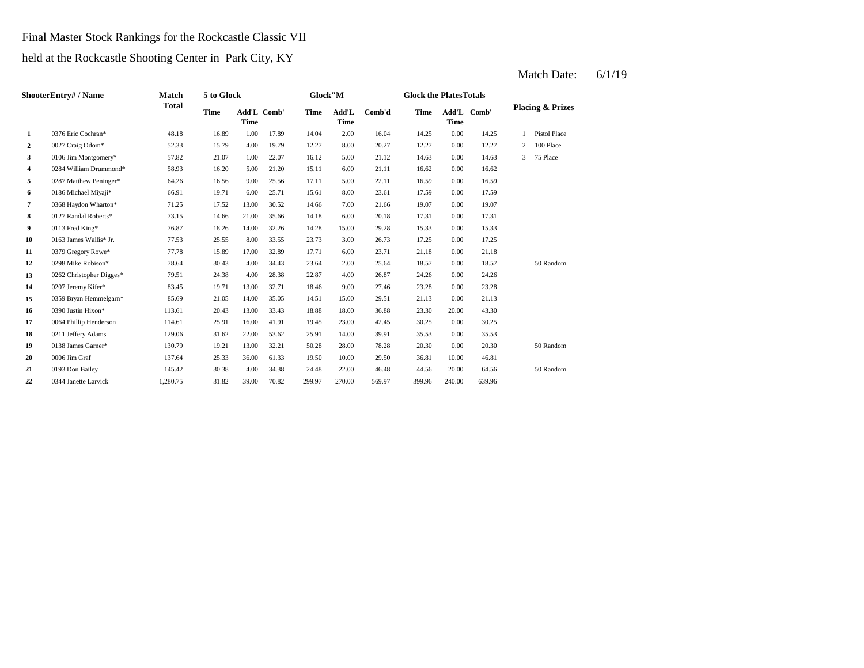## Final Master Stock Rankings for the Rockcastle Classic VII

held at the Rockcastle Shooting Center in Park City, KY

| ShooterEntry# / Name |                          | Match        | 5 to Glock |                            |       | Glock"M |                      |        |             | <b>Glock the PlatesTotals</b> |        |   |                             |  |
|----------------------|--------------------------|--------------|------------|----------------------------|-------|---------|----------------------|--------|-------------|-------------------------------|--------|---|-----------------------------|--|
|                      |                          | <b>Total</b> | Time       | Add'L Comb'<br><b>Time</b> |       | Time    | Add'L<br><b>Time</b> | Comb'd | <b>Time</b> | Add'L<br><b>Time</b>          | Comb'  |   | <b>Placing &amp; Prizes</b> |  |
| 1                    | 0376 Eric Cochran*       | 48.18        | 16.89      | 1.00                       | 17.89 | 14.04   | 2.00                 | 16.04  | 14.25       | 0.00                          | 14.25  |   | <b>Pistol Place</b>         |  |
| $\overline{2}$       | 0027 Craig Odom*         | 52.33        | 15.79      | 4.00                       | 19.79 | 12.27   | 8.00                 | 20.27  | 12.27       | 0.00                          | 12.27  | 2 | 100 Place                   |  |
| 3                    | 0106 Jim Montgomery*     | 57.82        | 21.07      | 1.00                       | 22.07 | 16.12   | 5.00                 | 21.12  | 14.63       | 0.00                          | 14.63  | 3 | 75 Place                    |  |
| 4                    | 0284 William Drummond*   | 58.93        | 16.20      | 5.00                       | 21.20 | 15.11   | 6.00                 | 21.11  | 16.62       | 0.00                          | 16.62  |   |                             |  |
| 5                    | 0287 Matthew Peninger*   | 64.26        | 16.56      | 9.00                       | 25.56 | 17.11   | 5.00                 | 22.11  | 16.59       | 0.00                          | 16.59  |   |                             |  |
| 6                    | 0186 Michael Miyaji*     | 66.91        | 19.71      | 6.00                       | 25.71 | 15.61   | 8.00                 | 23.61  | 17.59       | 0.00                          | 17.59  |   |                             |  |
| 7                    | 0368 Haydon Wharton*     | 71.25        | 17.52      | 13.00                      | 30.52 | 14.66   | 7.00                 | 21.66  | 19.07       | 0.00                          | 19.07  |   |                             |  |
| 8                    | 0127 Randal Roberts*     | 73.15        | 14.66      | 21.00                      | 35.66 | 14.18   | 6.00                 | 20.18  | 17.31       | 0.00                          | 17.31  |   |                             |  |
| 9                    | 0113 Fred King*          | 76.87        | 18.26      | 14.00                      | 32.26 | 14.28   | 15.00                | 29.28  | 15.33       | 0.00                          | 15.33  |   |                             |  |
| 10                   | 0163 James Wallis* Jr.   | 77.53        | 25.55      | 8.00                       | 33.55 | 23.73   | 3.00                 | 26.73  | 17.25       | 0.00                          | 17.25  |   |                             |  |
| 11                   | 0379 Gregory Rowe*       | 77.78        | 15.89      | 17.00                      | 32.89 | 17.71   | 6.00                 | 23.71  | 21.18       | 0.00                          | 21.18  |   |                             |  |
| 12                   | 0298 Mike Robison*       | 78.64        | 30.43      | 4.00                       | 34.43 | 23.64   | 2.00                 | 25.64  | 18.57       | 0.00                          | 18.57  |   | 50 Random                   |  |
| 13                   | 0262 Christopher Digges* | 79.51        | 24.38      | 4.00                       | 28.38 | 22.87   | 4.00                 | 26.87  | 24.26       | 0.00                          | 24.26  |   |                             |  |
| 14                   | 0207 Jeremy Kifer*       | 83.45        | 19.71      | 13.00                      | 32.71 | 18.46   | 9.00                 | 27.46  | 23.28       | 0.00                          | 23.28  |   |                             |  |
| 15                   | 0359 Bryan Hemmelgarn*   | 85.69        | 21.05      | 14.00                      | 35.05 | 14.51   | 15.00                | 29.51  | 21.13       | 0.00                          | 21.13  |   |                             |  |
| 16                   | 0390 Justin Hixon*       | 113.61       | 20.43      | 13.00                      | 33.43 | 18.88   | 18.00                | 36.88  | 23.30       | 20.00                         | 43.30  |   |                             |  |
| 17                   | 0064 Phillip Henderson   | 114.61       | 25.91      | 16.00                      | 41.91 | 19.45   | 23.00                | 42.45  | 30.25       | 0.00                          | 30.25  |   |                             |  |
| 18                   | 0211 Jeffery Adams       | 129.06       | 31.62      | 22.00                      | 53.62 | 25.91   | 14.00                | 39.91  | 35.53       | 0.00                          | 35.53  |   |                             |  |
| 19                   | 0138 James Garner*       | 130.79       | 19.21      | 13.00                      | 32.21 | 50.28   | 28.00                | 78.28  | 20.30       | 0.00                          | 20.30  |   | 50 Random                   |  |
| 20                   | 0006 Jim Graf            | 137.64       | 25.33      | 36.00                      | 61.33 | 19.50   | 10.00                | 29.50  | 36.81       | 10.00                         | 46.81  |   |                             |  |
| 21                   | 0193 Don Bailey          | 145.42       | 30.38      | 4.00                       | 34.38 | 24.48   | 22.00                | 46.48  | 44.56       | 20.00                         | 64.56  |   | 50 Random                   |  |
| 22                   | 0344 Janette Larvick     | 1,280.75     | 31.82      | 39.00                      | 70.82 | 299.97  | 270.00               | 569.97 | 399.96      | 240.00                        | 639.96 |   |                             |  |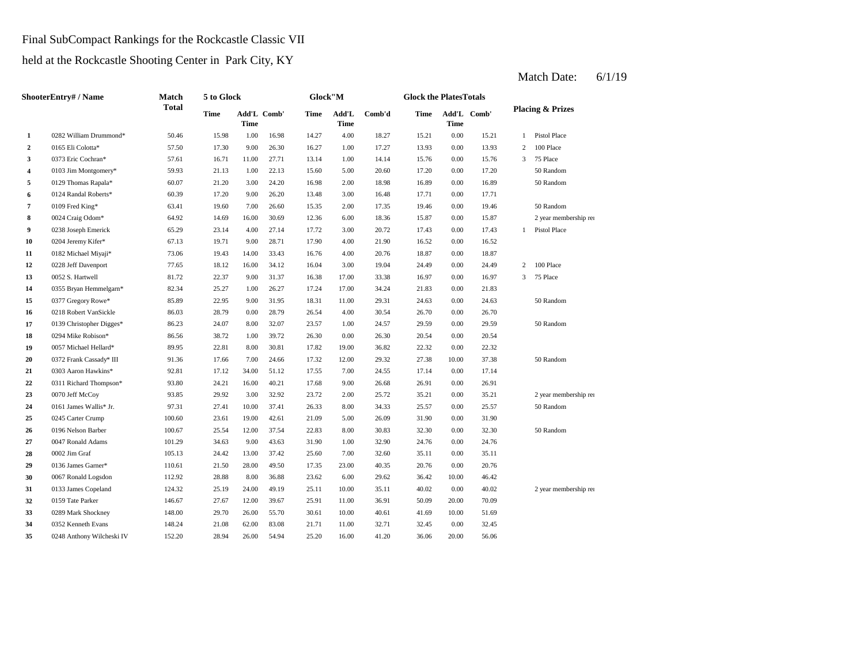## Final SubCompact Rankings for the Rockcastle Classic VII

held at the Rockcastle Shooting Center in Park City, KY

| <b>ShooterEntry#/Name</b> |                           | Match        | 5 to Glock |                     |       |       | Glock"M       |        |       | <b>Glock the PlatesTotals</b> |             |                             |                       |  |
|---------------------------|---------------------------|--------------|------------|---------------------|-------|-------|---------------|--------|-------|-------------------------------|-------------|-----------------------------|-----------------------|--|
|                           |                           | <b>Total</b> | Time       | Add'L Comb'<br>Time |       | Time  | Add'L<br>Time | Comb'd | Time  | <b>Time</b>                   | Add'L Comb' | <b>Placing &amp; Prizes</b> |                       |  |
| 1                         | 0282 William Drummond*    | 50.46        | 15.98      | 1.00                | 16.98 | 14.27 | 4.00          | 18.27  | 15.21 | 0.00                          | 15.21       | 1                           | Pistol Place          |  |
| $\overline{2}$            | 0165 Eli Colotta*         | 57.50        | 17.30      | 9.00                | 26.30 | 16.27 | 1.00          | 17.27  | 13.93 | 0.00                          | 13.93       | $\mathbf{2}$                | 100 Place             |  |
| 3                         | 0373 Eric Cochran*        | 57.61        | 16.71      | 11.00               | 27.71 | 13.14 | 1.00          | 14.14  | 15.76 | 0.00                          | 15.76       | 3                           | 75 Place              |  |
| $\overline{\mathbf{4}}$   | 0103 Jim Montgomery*      | 59.93        | 21.13      | 1.00                | 22.13 | 15.60 | 5.00          | 20.60  | 17.20 | 0.00                          | 17.20       |                             | 50 Random             |  |
| 5                         | 0129 Thomas Rapala*       | 60.07        | 21.20      | 3.00                | 24.20 | 16.98 | 2.00          | 18.98  | 16.89 | 0.00                          | 16.89       |                             | 50 Random             |  |
| 6                         | 0124 Randal Roberts*      | 60.39        | 17.20      | 9.00                | 26.20 | 13.48 | 3.00          | 16.48  | 17.71 | 0.00                          | 17.71       |                             |                       |  |
| $\overline{7}$            | 0109 Fred King*           | 63.41        | 19.60      | 7.00                | 26.60 | 15.35 | 2.00          | 17.35  | 19.46 | 0.00                          | 19.46       |                             | 50 Random             |  |
| 8                         | 0024 Craig Odom*          | 64.92        | 14.69      | 16.00               | 30.69 | 12.36 | 6.00          | 18.36  | 15.87 | 0.00                          | 15.87       |                             | 2 year membership rei |  |
| 9                         | 0238 Joseph Emerick       | 65.29        | 23.14      | 4.00                | 27.14 | 17.72 | 3.00          | 20.72  | 17.43 | 0.00                          | 17.43       | $\mathbf{1}$                | Pistol Place          |  |
| 10                        | 0204 Jeremy Kifer*        | 67.13        | 19.71      | 9.00                | 28.71 | 17.90 | 4.00          | 21.90  | 16.52 | 0.00                          | 16.52       |                             |                       |  |
| 11                        | 0182 Michael Miyaji*      | 73.06        | 19.43      | 14.00               | 33.43 | 16.76 | 4.00          | 20.76  | 18.87 | 0.00                          | 18.87       |                             |                       |  |
| 12                        | 0228 Jeff Davenport       | 77.65        | 18.12      | 16.00               | 34.12 | 16.04 | 3.00          | 19.04  | 24.49 | 0.00                          | 24.49       | 2                           | 100 Place             |  |
| 13                        | 0052 S. Hartwell          | 81.72        | 22.37      | 9.00                | 31.37 | 16.38 | 17.00         | 33.38  | 16.97 | 0.00                          | 16.97       | 3                           | 75 Place              |  |
| 14                        | 0355 Bryan Hemmelgarn*    | 82.34        | 25.27      | 1.00                | 26.27 | 17.24 | 17.00         | 34.24  | 21.83 | 0.00                          | 21.83       |                             |                       |  |
| 15                        | 0377 Gregory Rowe*        | 85.89        | 22.95      | 9.00                | 31.95 | 18.31 | 11.00         | 29.31  | 24.63 | 0.00                          | 24.63       |                             | 50 Random             |  |
| 16                        | 0218 Robert VanSickle     | 86.03        | 28.79      | 0.00                | 28.79 | 26.54 | 4.00          | 30.54  | 26.70 | 0.00                          | 26.70       |                             |                       |  |
| 17                        | 0139 Christopher Digges*  | 86.23        | 24.07      | 8.00                | 32.07 | 23.57 | 1.00          | 24.57  | 29.59 | 0.00                          | 29.59       |                             | 50 Random             |  |
| 18                        | 0294 Mike Robison*        | 86.56        | 38.72      | 1.00                | 39.72 | 26.30 | 0.00          | 26.30  | 20.54 | 0.00                          | 20.54       |                             |                       |  |
| 19                        | 0057 Michael Hellard*     | 89.95        | 22.81      | 8.00                | 30.81 | 17.82 | 19.00         | 36.82  | 22.32 | 0.00                          | 22.32       |                             |                       |  |
| 20                        | 0372 Frank Cassady* III   | 91.36        | 17.66      | 7.00                | 24.66 | 17.32 | 12.00         | 29.32  | 27.38 | 10.00                         | 37.38       |                             | 50 Random             |  |
| 21                        | 0303 Aaron Hawkins*       | 92.81        | 17.12      | 34.00               | 51.12 | 17.55 | 7.00          | 24.55  | 17.14 | 0.00                          | 17.14       |                             |                       |  |
| 22                        | 0311 Richard Thompson*    | 93.80        | 24.21      | 16.00               | 40.21 | 17.68 | 9.00          | 26.68  | 26.91 | 0.00                          | 26.91       |                             |                       |  |
| 23                        | 0070 Jeff McCoy           | 93.85        | 29.92      | 3.00                | 32.92 | 23.72 | 2.00          | 25.72  | 35.21 | 0.00                          | 35.21       |                             | 2 year membership rei |  |
| 24                        | 0161 James Wallis* Jr.    | 97.31        | 27.41      | 10.00               | 37.41 | 26.33 | 8.00          | 34.33  | 25.57 | 0.00                          | 25.57       |                             | 50 Random             |  |
| 25                        | 0245 Carter Crump         | 100.60       | 23.61      | 19.00               | 42.61 | 21.09 | 5.00          | 26.09  | 31.90 | 0.00                          | 31.90       |                             |                       |  |
| 26                        | 0196 Nelson Barber        | 100.67       | 25.54      | 12.00               | 37.54 | 22.83 | 8.00          | 30.83  | 32.30 | 0.00                          | 32.30       |                             | 50 Random             |  |
| 27                        | 0047 Ronald Adams         | 101.29       | 34.63      | 9.00                | 43.63 | 31.90 | 1.00          | 32.90  | 24.76 | 0.00                          | 24.76       |                             |                       |  |
| 28                        | 0002 Jim Graf             | 105.13       | 24.42      | 13.00               | 37.42 | 25.60 | 7.00          | 32.60  | 35.11 | 0.00                          | 35.11       |                             |                       |  |
| 29                        | 0136 James Garner*        | 110.61       | 21.50      | 28.00               | 49.50 | 17.35 | 23.00         | 40.35  | 20.76 | 0.00                          | 20.76       |                             |                       |  |
| 30                        | 0067 Ronald Logsdon       | 112.92       | 28.88      | 8.00                | 36.88 | 23.62 | 6.00          | 29.62  | 36.42 | 10.00                         | 46.42       |                             |                       |  |
| 31                        | 0133 James Copeland       | 124.32       | 25.19      | 24.00               | 49.19 | 25.11 | 10.00         | 35.11  | 40.02 | 0.00                          | 40.02       |                             | 2 year membership rei |  |
| 32                        | 0159 Tate Parker          | 146.67       | 27.67      | 12.00               | 39.67 | 25.91 | 11.00         | 36.91  | 50.09 | 20.00                         | 70.09       |                             |                       |  |
| 33                        | 0289 Mark Shockney        | 148.00       | 29.70      | 26.00               | 55.70 | 30.61 | 10.00         | 40.61  | 41.69 | 10.00                         | 51.69       |                             |                       |  |
| 34                        | 0352 Kenneth Evans        | 148.24       | 21.08      | 62.00               | 83.08 | 21.71 | 11.00         | 32.71  | 32.45 | 0.00                          | 32.45       |                             |                       |  |
| 35                        | 0248 Anthony Wilcheski IV | 152.20       | 28.94      | 26.00               | 54.94 | 25.20 | 16.00         | 41.20  | 36.06 | 20.00                         | 56.06       |                             |                       |  |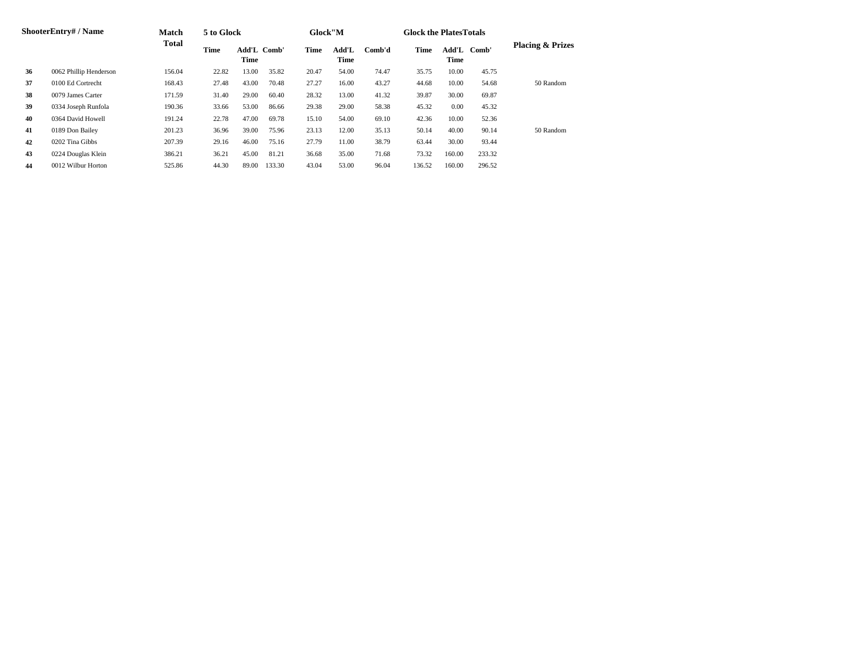| ShooterEntry# / Name |                        | Match         | 5 to Glock |                     |        | Glock"M |               |        | <b>Glock the Plates Totals</b> |                     |        |                             |
|----------------------|------------------------|---------------|------------|---------------------|--------|---------|---------------|--------|--------------------------------|---------------------|--------|-----------------------------|
|                      |                        | Total<br>Time |            | Add'L Comb'<br>Time |        | Time    | Add'L<br>Time | Comb'd | Time                           | Add'L Comb'<br>Time |        | <b>Placing &amp; Prizes</b> |
| 36                   | 0062 Phillip Henderson | 156.04        | 22.82      | 13.00               | 35.82  | 20.47   | 54.00         | 74.47  | 35.75                          | 10.00               | 45.75  |                             |
| 37                   | 0100 Ed Cortrecht      | 168.43        | 27.48      | 43.00               | 70.48  | 27.27   | 16.00         | 43.27  | 44.68                          | 10.00               | 54.68  | 50 Random                   |
| 38                   | 0079 James Carter      | 171.59        | 31.40      | 29.00               | 60.40  | 28.32   | 13.00         | 41.32  | 39.87                          | 30.00               | 69.87  |                             |
| 39                   | 0334 Joseph Runfola    | 190.36        | 33.66      | 53.00               | 86.66  | 29.38   | 29.00         | 58.38  | 45.32                          | 0.00                | 45.32  |                             |
| 40                   | 0364 David Howell      | 191.24        | 22.78      | 47.00               | 69.78  | 15.10   | 54.00         | 69.10  | 42.36                          | 10.00               | 52.36  |                             |
| 41                   | 0189 Don Bailey        | 201.23        | 36.96      | 39.00               | 75.96  | 23.13   | 12.00         | 35.13  | 50.14                          | 40.00               | 90.14  | 50 Random                   |
| 42                   | 0202 Tina Gibbs        | 207.39        | 29.16      | 46.00               | 75.16  | 27.79   | 11.00         | 38.79  | 63.44                          | 30.00               | 93.44  |                             |
| 43                   | 0224 Douglas Klein     | 386.21        | 36.21      | 45.00               | 81.21  | 36.68   | 35.00         | 71.68  | 73.32                          | 160.00              | 233.32 |                             |
| 44                   | 0012 Wilbur Horton     | 525.86        | 44.30      | 89.00               | 133.30 | 43.04   | 53.00         | 96.04  | 136.52                         | 160.00              | 296.52 |                             |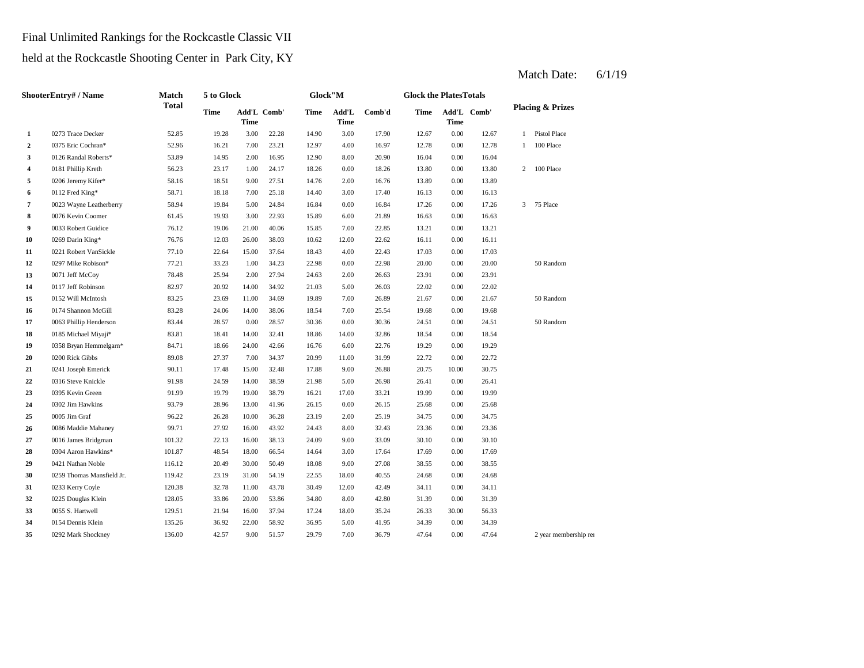## Final Unlimited Rankings for the Rockcastle Classic VII

held at the Rockcastle Shooting Center in Park City, KY

| <b>ShooterEntry#/Name</b> |                           | Match        | 5 to Glock<br>Glock"M |       |             |       |                                  | <b>Glock the PlatesTotals</b> |       |                     |       |                |                             |  |
|---------------------------|---------------------------|--------------|-----------------------|-------|-------------|-------|----------------------------------|-------------------------------|-------|---------------------|-------|----------------|-----------------------------|--|
|                           |                           | <b>Total</b> | Time                  | Time  | Add'L Comb' | Time  | $\mathbf{Add}\mathbf{L}$<br>Time | Comb'd                        | Time  | Add'L Comb'<br>Time |       |                | <b>Placing &amp; Prizes</b> |  |
| $\mathbf{1}$              | 0273 Trace Decker         | 52.85        | 19.28                 | 3.00  | 22.28       | 14.90 | 3.00                             | 17.90                         | 12.67 | 0.00                | 12.67 | $\mathbf{1}$   | Pistol Place                |  |
| $\boldsymbol{2}$          | 0375 Eric Cochran*        | 52.96        | 16.21                 | 7.00  | 23.21       | 12.97 | 4.00                             | 16.97                         | 12.78 | 0.00                | 12.78 | 1              | 100 Place                   |  |
| 3                         | 0126 Randal Roberts*      | 53.89        | 14.95                 | 2.00  | 16.95       | 12.90 | 8.00                             | 20.90                         | 16.04 | 0.00                | 16.04 |                |                             |  |
| 4                         | 0181 Phillip Kreth        | 56.23        | 23.17                 | 1.00  | 24.17       | 18.26 | 0.00                             | 18.26                         | 13.80 | 0.00                | 13.80 | $\overline{c}$ | 100 Place                   |  |
| 5                         | 0206 Jeremy Kifer*        | 58.16        | 18.51                 | 9.00  | 27.51       | 14.76 | 2.00                             | 16.76                         | 13.89 | 0.00                | 13.89 |                |                             |  |
| 6                         | 0112 Fred King*           | 58.71        | 18.18                 | 7.00  | 25.18       | 14.40 | 3.00                             | 17.40                         | 16.13 | 0.00                | 16.13 |                |                             |  |
| $\overline{7}$            | 0023 Wayne Leatherberry   | 58.94        | 19.84                 | 5.00  | 24.84       | 16.84 | 0.00                             | 16.84                         | 17.26 | 0.00                | 17.26 | 3              | 75 Place                    |  |
| 8                         | 0076 Kevin Coomer         | 61.45        | 19.93                 | 3.00  | 22.93       | 15.89 | 6.00                             | 21.89                         | 16.63 | 0.00                | 16.63 |                |                             |  |
| 9                         | 0033 Robert Guidice       | 76.12        | 19.06                 | 21.00 | 40.06       | 15.85 | 7.00                             | 22.85                         | 13.21 | 0.00                | 13.21 |                |                             |  |
| 10                        | 0269 Darin King*          | 76.76        | 12.03                 | 26.00 | 38.03       | 10.62 | 12.00                            | 22.62                         | 16.11 | 0.00                | 16.11 |                |                             |  |
| 11                        | 0221 Robert VanSickle     | 77.10        | 22.64                 | 15.00 | 37.64       | 18.43 | 4.00                             | 22.43                         | 17.03 | 0.00                | 17.03 |                |                             |  |
| 12                        | 0297 Mike Robison*        | 77.21        | 33.23                 | 1.00  | 34.23       | 22.98 | 0.00                             | 22.98                         | 20.00 | $0.00\,$            | 20.00 |                | 50 Random                   |  |
| 13                        | 0071 Jeff McCoy           | 78.48        | 25.94                 | 2.00  | 27.94       | 24.63 | 2.00                             | 26.63                         | 23.91 | 0.00                | 23.91 |                |                             |  |
| 14                        | 0117 Jeff Robinson        | 82.97        | 20.92                 | 14.00 | 34.92       | 21.03 | 5.00                             | 26.03                         | 22.02 | 0.00                | 22.02 |                |                             |  |
| 15                        | 0152 Will McIntosh        | 83.25        | 23.69                 | 11.00 | 34.69       | 19.89 | 7.00                             | 26.89                         | 21.67 | 0.00                | 21.67 |                | 50 Random                   |  |
| 16                        | 0174 Shannon McGill       | 83.28        | 24.06                 | 14.00 | 38.06       | 18.54 | 7.00                             | 25.54                         | 19.68 | 0.00                | 19.68 |                |                             |  |
| 17                        | 0063 Phillip Henderson    | 83.44        | 28.57                 | 0.00  | 28.57       | 30.36 | 0.00                             | 30.36                         | 24.51 | 0.00                | 24.51 |                | 50 Random                   |  |
| 18                        | 0185 Michael Miyaji*      | 83.81        | 18.41                 | 14.00 | 32.41       | 18.86 | 14.00                            | 32.86                         | 18.54 | 0.00                | 18.54 |                |                             |  |
| 19                        | 0358 Bryan Hemmelgarn*    | 84.71        | 18.66                 | 24.00 | 42.66       | 16.76 | 6.00                             | 22.76                         | 19.29 | 0.00                | 19.29 |                |                             |  |
| 20                        | 0200 Rick Gibbs           | 89.08        | 27.37                 | 7.00  | 34.37       | 20.99 | 11.00                            | 31.99                         | 22.72 | 0.00                | 22.72 |                |                             |  |
| 21                        | 0241 Joseph Emerick       | 90.11        | 17.48                 | 15.00 | 32.48       | 17.88 | 9.00                             | 26.88                         | 20.75 | 10.00               | 30.75 |                |                             |  |
| 22                        | 0316 Steve Knickle        | 91.98        | 24.59                 | 14.00 | 38.59       | 21.98 | 5.00                             | 26.98                         | 26.41 | 0.00                | 26.41 |                |                             |  |
| 23                        | 0395 Kevin Green          | 91.99        | 19.79                 | 19.00 | 38.79       | 16.21 | 17.00                            | 33.21                         | 19.99 | 0.00                | 19.99 |                |                             |  |
| 24                        | 0302 Jim Hawkins          | 93.79        | 28.96                 | 13.00 | 41.96       | 26.15 | 0.00                             | 26.15                         | 25.68 | 0.00                | 25.68 |                |                             |  |
| 25                        | 0005 Jim Graf             | 96.22        | 26.28                 | 10.00 | 36.28       | 23.19 | 2.00                             | 25.19                         | 34.75 | 0.00                | 34.75 |                |                             |  |
| 26                        | 0086 Maddie Mahaney       | 99.71        | 27.92                 | 16.00 | 43.92       | 24.43 | 8.00                             | 32.43                         | 23.36 | 0.00                | 23.36 |                |                             |  |
| 27                        | 0016 James Bridgman       | 101.32       | 22.13                 | 16.00 | 38.13       | 24.09 | 9.00                             | 33.09                         | 30.10 | 0.00                | 30.10 |                |                             |  |
| 28                        | 0304 Aaron Hawkins*       | 101.87       | 48.54                 | 18.00 | 66.54       | 14.64 | 3.00                             | 17.64                         | 17.69 | 0.00                | 17.69 |                |                             |  |
| 29                        | 0421 Nathan Noble         | 116.12       | 20.49                 | 30.00 | 50.49       | 18.08 | 9.00                             | 27.08                         | 38.55 | 0.00                | 38.55 |                |                             |  |
| 30                        | 0259 Thomas Mansfield Jr. | 119.42       | 23.19                 | 31.00 | 54.19       | 22.55 | 18.00                            | 40.55                         | 24.68 | 0.00                | 24.68 |                |                             |  |
| 31                        | 0233 Kerry Coyle          | 120.38       | 32.78                 | 11.00 | 43.78       | 30.49 | 12.00                            | 42.49                         | 34.11 | 0.00                | 34.11 |                |                             |  |
| 32                        | 0225 Douglas Klein        | 128.05       | 33.86                 | 20.00 | 53.86       | 34.80 | 8.00                             | 42.80                         | 31.39 | 0.00                | 31.39 |                |                             |  |
| 33                        | 0055 S. Hartwell          | 129.51       | 21.94                 | 16.00 | 37.94       | 17.24 | 18.00                            | 35.24                         | 26.33 | 30.00               | 56.33 |                |                             |  |
| 34                        | 0154 Dennis Klein         | 135.26       | 36.92                 | 22.00 | 58.92       | 36.95 | 5.00                             | 41.95                         | 34.39 | 0.00                | 34.39 |                |                             |  |
| 35                        | 0292 Mark Shockney        | 136.00       | 42.57                 | 9.00  | 51.57       | 29.79 | 7.00                             | 36.79                         | 47.64 | 0.00                | 47.64 |                | 2 year membership rei       |  |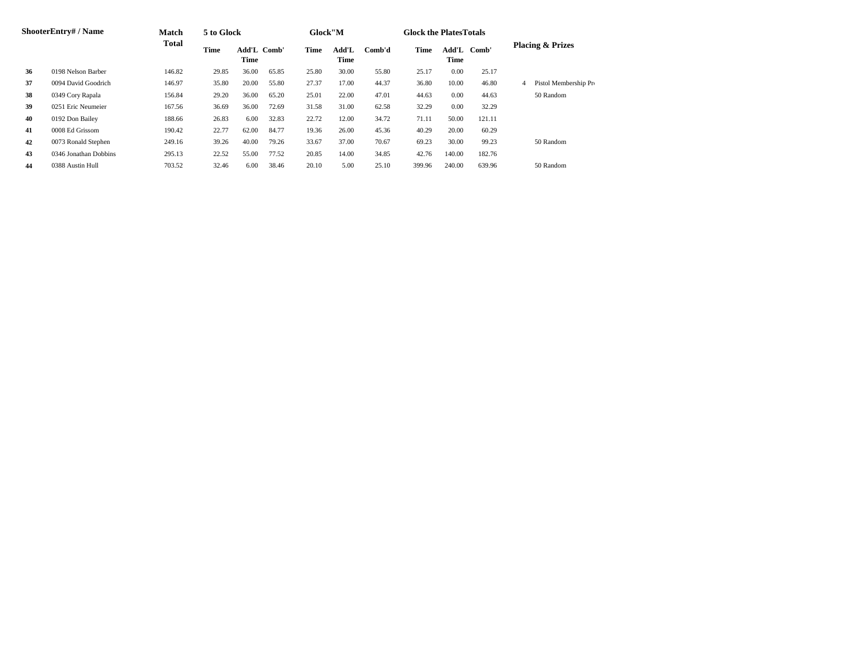| ShooterEntry# / Name |                       | <b>Match</b> | 5 to Glock |                     |       | Glock"M |               |        | <b>Glock the Plates Totals</b> |               |        |   |                             |
|----------------------|-----------------------|--------------|------------|---------------------|-------|---------|---------------|--------|--------------------------------|---------------|--------|---|-----------------------------|
|                      |                       | Total        | Time       | Add'L Comb'<br>Time |       | Time    | Add'L<br>Time | Comb'd | Time                           | Add'L<br>Time | Comb'  |   | <b>Placing &amp; Prizes</b> |
| 36                   | 0198 Nelson Barber    | 146.82       | 29.85      | 36.00               | 65.85 | 25.80   | 30.00         | 55.80  | 25.17                          | 0.00          | 25.17  |   |                             |
| 37                   | 0094 David Goodrich   | 146.97       | 35.80      | 20.00               | 55.80 | 27.37   | 17.00         | 44.37  | 36.80                          | 10.00         | 46.80  | 4 | Pistol Membership Pro       |
| 38                   | 0349 Cory Rapala      | 156.84       | 29.20      | 36.00               | 65.20 | 25.01   | 22.00         | 47.01  | 44.63                          | 0.00          | 44.63  |   | 50 Random                   |
| 39                   | 0251 Eric Neumeier    | 167.56       | 36.69      | 36.00               | 72.69 | 31.58   | 31.00         | 62.58  | 32.29                          | 0.00          | 32.29  |   |                             |
| 40                   | 0192 Don Bailey       | 188.66       | 26.83      | 6.00                | 32.83 | 22.72   | 12.00         | 34.72  | 71.11                          | 50.00         | 121.11 |   |                             |
| 41                   | 0008 Ed Grissom       | 190.42       | 22.77      | 62.00               | 84.77 | 19.36   | 26.00         | 45.36  | 40.29                          | 20.00         | 60.29  |   |                             |
| 42                   | 0073 Ronald Stephen   | 249.16       | 39.26      | 40.00               | 79.26 | 33.67   | 37.00         | 70.67  | 69.23                          | 30.00         | 99.23  |   | 50 Random                   |
| 43                   | 0346 Jonathan Dobbins | 295.13       | 22.52      | 55.00               | 77.52 | 20.85   | 14.00         | 34.85  | 42.76                          | 140.00        | 182.76 |   |                             |
| 44                   | 0388 Austin Hull      | 703.52       | 32.46      | 6.00                | 38.46 | 20.10   | 5.00          | 25.10  | 399.96                         | 240.00        | 639.96 |   | 50 Random                   |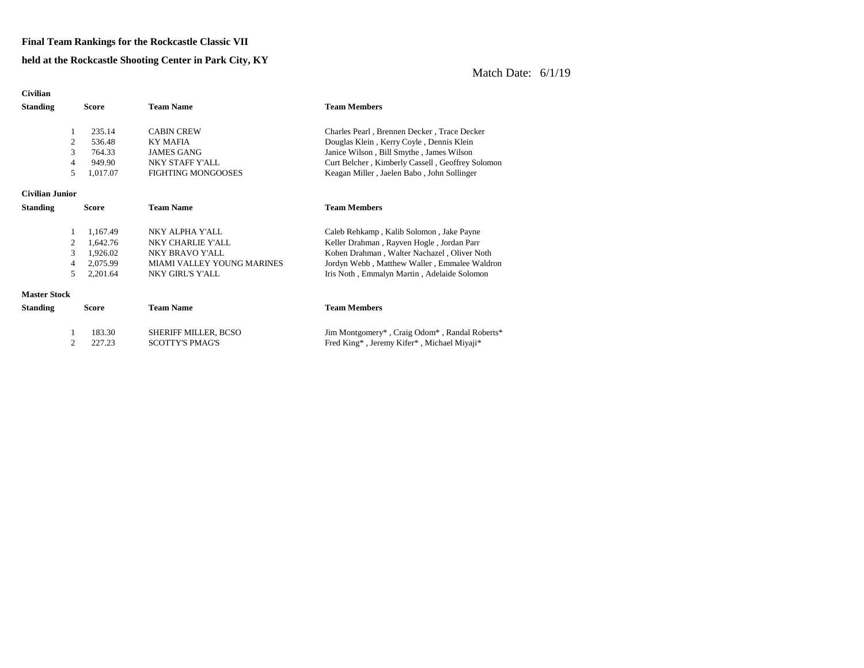#### **Final Team Rankings for the Rockcastle Classic VII**

#### **held at the Rockcastle Shooting Center in Park City, KY**

| <b>Civilian</b>     |              |          |                             |                                                  |
|---------------------|--------------|----------|-----------------------------|--------------------------------------------------|
| <b>Standing</b>     | <b>Score</b> |          | <b>Team Name</b>            | <b>Team Members</b>                              |
|                     |              |          |                             |                                                  |
| 1                   |              | 235.14   | <b>CABIN CREW</b>           | Charles Pearl, Brennen Decker, Trace Decker      |
| 2                   |              | 536.48   | <b>KY MAFIA</b>             | Douglas Klein, Kerry Coyle, Dennis Klein         |
| 3                   |              | 764.33   | <b>JAMES GANG</b>           | Janice Wilson, Bill Smythe, James Wilson         |
| 4                   |              | 949.90   | NKY STAFF Y'ALL             | Curt Belcher, Kimberly Cassell, Geoffrey Solomon |
| 5                   |              | 1,017.07 | <b>FIGHTING MONGOOSES</b>   | Keagan Miller, Jaelen Babo, John Sollinger       |
| Civilian Junior     |              |          |                             |                                                  |
| <b>Standing</b>     | <b>Score</b> |          | <b>Team Name</b>            | <b>Team Members</b>                              |
| 1                   |              | 1,167.49 | NKY ALPHA Y'ALL             | Caleb Rehkamp, Kalib Solomon, Jake Payne         |
| 2                   |              | 1,642.76 | NKY CHARLIE Y'ALL           | Keller Drahman, Rayven Hogle, Jordan Parr        |
| 3                   |              | 1,926.02 | NKY BRAVO Y'ALL             | Kohen Drahman, Walter Nachazel, Oliver Noth      |
| 4                   |              | 2,075.99 | MIAMI VALLEY YOUNG MARINES  | Jordyn Webb, Matthew Waller, Emmalee Waldron     |
| 5                   |              | 2,201.64 | NKY GIRL'S Y'ALL            | Iris Noth, Emmalyn Martin, Adelaide Solomon      |
| <b>Master Stock</b> |              |          |                             |                                                  |
| <b>Standing</b>     | <b>Score</b> |          | <b>Team Name</b>            | <b>Team Members</b>                              |
| 1                   |              | 183.30   | <b>SHERIFF MILLER, BCSO</b> | Jim Montgomery*, Craig Odom*, Randal Roberts*    |
| 2                   |              | 227.23   | <b>SCOTTY'S PMAG'S</b>      | Fred King*, Jeremy Kifer*, Michael Miyaji*       |